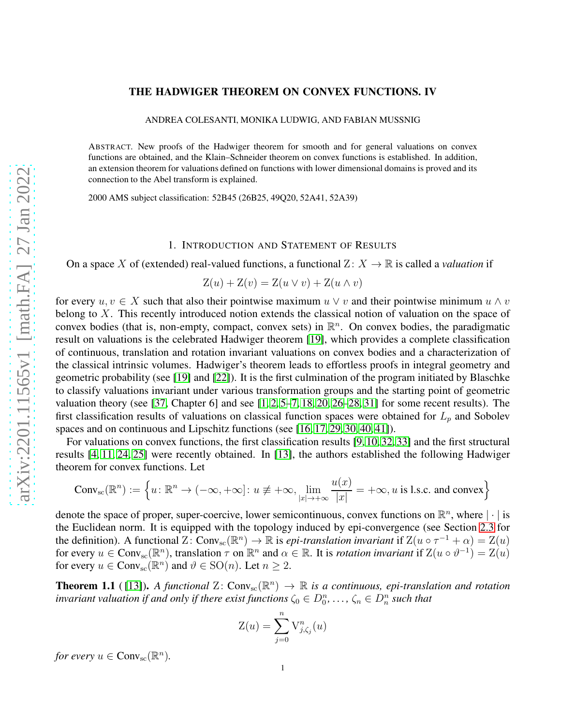# THE HADWIGER THEOREM ON CONVEX FUNCTIONS. IV

ANDREA COLESANTI, MONIKA LUDWIG, AND FABIAN MUSSNIG

ABSTRACT. New proofs of the Hadwiger theorem for smooth and for general valuations on convex functions are obtained, and the Klain–Schneider theorem on convex functions is established. In addition, an extension theorem for valuations defined on functions with lower dimensional domains is proved and its connection to the Abel transform is explained.

2000 AMS subject classification: 52B45 (26B25, 49Q20, 52A41, 52A39)

### 1. INTRODUCTION AND STATEMENT OF RESULTS

On a space X of (extended) real-valued functions, a functional  $Z: X \to \mathbb{R}$  is called a *valuation* if

$$
Z(u) + Z(v) = Z(u \vee v) + Z(u \wedge v)
$$

for every  $u, v \in X$  such that also their pointwise maximum  $u \vee v$  and their pointwise minimum  $u \wedge v$ belong to X. This recently introduced notion extends the classical notion of valuation on the space of convex bodies (that is, non-empty, compact, convex sets) in  $\mathbb{R}^n$ . On convex bodies, the paradigmatic result on valuations is the celebrated Hadwiger theorem [\[19\]](#page-23-0), which provides a complete classification of continuous, translation and rotation invariant valuations on convex bodies and a characterization of the classical intrinsic volumes. Hadwiger's theorem leads to effortless proofs in integral geometry and geometric probability (see [\[19\]](#page-23-0) and [\[22\]](#page-23-1)). It is the first culmination of the program initiated by Blaschke to classify valuations invariant under various transformation groups and the starting point of geometric valuation theory (see [\[37,](#page-23-2) Chapter 6] and see  $[1, 2, 5-7, 18, 20, 26-28, 31]$  $[1, 2, 5-7, 18, 20, 26-28, 31]$  $[1, 2, 5-7, 18, 20, 26-28, 31]$  $[1, 2, 5-7, 18, 20, 26-28, 31]$  $[1, 2, 5-7, 18, 20, 26-28, 31]$  $[1, 2, 5-7, 18, 20, 26-28, 31]$  $[1, 2, 5-7, 18, 20, 26-28, 31]$  $[1, 2, 5-7, 18, 20, 26-28, 31]$  $[1, 2, 5-7, 18, 20, 26-28, 31]$  for some recent results). The first classification results of valuations on classical function spaces were obtained for  $L_p$  and Sobolev spaces and on continuous and Lipschitz functions (see [\[16,](#page-23-12) [17,](#page-23-13) [29,](#page-23-14) [30,](#page-23-15) [40,](#page-24-0) [41\]](#page-24-1)).

For valuations on convex functions, the first classification results [\[9,](#page-23-16) [10,](#page-23-17) [32,](#page-23-18) [33\]](#page-23-19) and the first structural results [\[4,](#page-23-20) [11,](#page-23-21) [24,](#page-23-22) [25\]](#page-23-23) were recently obtained. In [\[13\]](#page-23-24), the authors established the following Hadwiger theorem for convex functions. Let

$$
\text{Conv}_{\text{sc}}(\mathbb{R}^n) := \left\{ u \colon \mathbb{R}^n \to (-\infty, +\infty] \colon u \not\equiv +\infty, \lim_{|x| \to +\infty} \frac{u(x)}{|x|} = +\infty, u \text{ is l.s.c. and convex} \right\}
$$

denote the space of proper, super-coercive, lower semicontinuous, convex functions on  $\mathbb{R}^n$ , where  $|\cdot|$  is the Euclidean norm. It is equipped with the topology induced by epi-convergence (see Section [2.3](#page-3-0) for the definition). A functional  $\mathbb{Z} \colon \text{Conv}_{\text{sc}}(\mathbb{R}^n) \to \mathbb{R}$  is *epi-translation invariant* if  $\mathbb{Z}(u \circ \tau^{-1} + \alpha) = \mathbb{Z}(u)$ for every  $u \in Conv_{sc}(\mathbb{R}^n)$ , translation  $\tau$  on  $\mathbb{R}^n$  and  $\alpha \in \mathbb{R}$ . It is *rotation invariant* if  $Z(u \circ \vartheta^{-1}) = Z(u)$ for every  $u \in Conv_{\text{sc}}(\mathbb{R}^n)$  and  $\vartheta \in \text{SO}(n)$ . Let  $n \geq 2$ .

<span id="page-0-0"></span>**Theorem 1.1** ([\[13\]](#page-23-24)). A functional  $Z: Conv_{sc}(\mathbb{R}^n) \to \mathbb{R}$  is a continuous, epi-translation and rotation *invariant valuation if and only if there exist functions*  $\zeta_0 \in D_0^n, \ldots, \zeta_n \in D_n^n$  such that

$$
Z(u) = \sum_{j=0}^{n} V_{j,\zeta_j}^n(u)
$$

*for every*  $u \in Conv_{\rm sc}(\mathbb{R}^n)$ .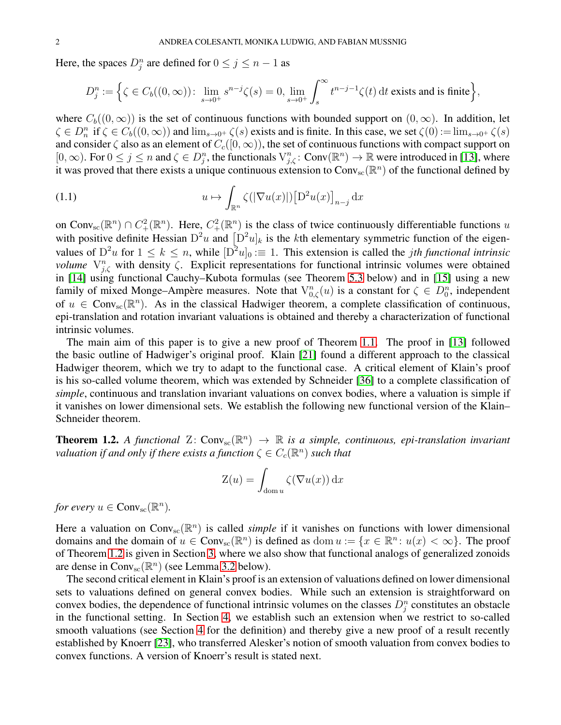Here, the spaces  $D_j^n$  are defined for  $0 \le j \le n-1$  as

$$
D_j^n := \Big\{ \zeta \in C_b((0,\infty)) \colon \lim_{s \to 0^+} s^{n-j} \zeta(s) = 0, \lim_{s \to 0^+} \int_s^\infty t^{n-j-1} \zeta(t) dt \text{ exists and is finite} \Big\},
$$

where  $C_b((0,\infty))$  is the set of continuous functions with bounded support on  $(0,\infty)$ . In addition, let  $\zeta \in D_n^n$  if  $\zeta \in C_b((0,\infty))$  and  $\lim_{s\to 0^+} \zeta(s)$  exists and is finite. In this case, we set  $\zeta(0) := \lim_{s\to 0^+} \zeta(s)$ and consider  $\zeta$  also as an element of  $C_c([0,\infty))$ , the set of continuous functions with compact support on  $[0,\infty)$ . For  $0 \le j \le n$  and  $\zeta \in D_j^n$ , the functionals  $V_{j,\zeta}^n$ : Conv $(\mathbb{R}^n) \to \mathbb{R}$  were introduced in [\[13\]](#page-23-24), where it was proved that there exists a unique continuous extension to Conv<sub>sc</sub>( $\mathbb{R}^n$ ) of the functional defined by

<span id="page-1-1"></span>(1.1) 
$$
u \mapsto \int_{\mathbb{R}^n} \zeta(|\nabla u(x)|) [\mathcal{D}^2 u(x)]_{n-j} dx
$$

on Conv<sub>sc</sub>( $\mathbb{R}^n$ )  $\cap C^2_+(\mathbb{R}^n)$ . Here,  $C^2_+(\mathbb{R}^n)$  is the class of twice continuously differentiable functions u with positive definite Hessian  $D^2u$  and  $[D^2u]_k$  is the kth elementary symmetric function of the eigenvalues of  $D^2u$  for  $1 \leq k \leq n$ , while  $[D^2u]_0 \equiv 1$ . This extension is called the *jth functional intrinsic volume*  $V_{j,\zeta}^n$  with density  $\zeta$ . Explicit representations for functional intrinsic volumes were obtained in [\[14\]](#page-23-25) using functional Cauchy–Kubota formulas (see Theorem [5.3](#page-17-0) below) and in [\[15\]](#page-23-26) using a new family of mixed Monge–Ampère measures. Note that  $V_{0,\zeta}^n(u)$  is a constant for  $\zeta \in D_0^n$ , independent of  $u \in Conv_{sc}(\mathbb{R}^n)$ . As in the classical Hadwiger theorem, a complete classification of continuous, epi-translation and rotation invariant valuations is obtained and thereby a characterization of functional intrinsic volumes.

The main aim of this paper is to give a new proof of Theorem [1.1.](#page-0-0) The proof in [\[13\]](#page-23-24) followed the basic outline of Hadwiger's original proof. Klain [\[21\]](#page-23-27) found a different approach to the classical Hadwiger theorem, which we try to adapt to the functional case. A critical element of Klain's proof is his so-called volume theorem, which was extended by Schneider [\[36\]](#page-23-28) to a complete classification of *simple*, continuous and translation invariant valuations on convex bodies, where a valuation is simple if it vanishes on lower dimensional sets. We establish the following new functional version of the Klain– Schneider theorem.

<span id="page-1-0"></span>**Theorem 1.2.** A functional  $Z: Conv_{sc}(\mathbb{R}^n) \to \mathbb{R}$  is a simple, continuous, epi-translation invariant *valuation if and only if there exists a function*  $\zeta \in C_c(\mathbb{R}^n)$  *such that* 

$$
Z(u) = \int_{\text{dom } u} \zeta(\nabla u(x)) \, \mathrm{d}x
$$

*for every*  $u \in Conv_{\rm sc}(\mathbb{R}^n)$ .

Here a valuation on  $Conv_{sc}(\mathbb{R}^n)$  is called *simple* if it vanishes on functions with lower dimensional domains and the domain of  $u \in Conv_{sc}(\mathbb{R}^n)$  is defined as dom  $u := \{x \in \mathbb{R}^n : u(x) < \infty\}$ . The proof of Theorem [1.2](#page-1-0) is given in Section [3,](#page-10-0) where we also show that functional analogs of generalized zonoids are dense in  $Conv_{sc}(\mathbb{R}^n)$  (see Lemma [3.2](#page-10-1) below).

The second critical element in Klain's proof is an extension of valuations defined on lower dimensional sets to valuations defined on general convex bodies. While such an extension is straightforward on convex bodies, the dependence of functional intrinsic volumes on the classes  $D_j^n$  constitutes an obstacle in the functional setting. In Section [4,](#page-13-0) we establish such an extension when we restrict to so-called smooth valuations (see Section [4](#page-13-0) for the definition) and thereby give a new proof of a result recently established by Knoerr [\[23\]](#page-23-29), who transferred Alesker's notion of smooth valuation from convex bodies to convex functions. A version of Knoerr's result is stated next.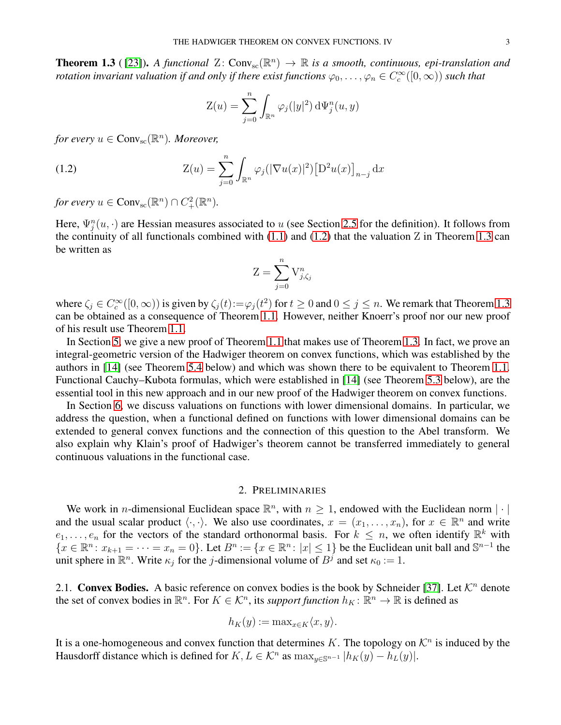<span id="page-2-1"></span>**Theorem 1.3** ([\[23\]](#page-23-29)). A functional  $Z: Conv_{sc}(\mathbb{R}^n) \to \mathbb{R}$  is a smooth, continuous, epi-translation and *rotation invariant valuation if and only if there exist functions*  $\varphi_0,\ldots,\varphi_n\in C_c^\infty([0,\infty))$  *such that* 

<span id="page-2-0"></span>
$$
Z(u) = \sum_{j=0}^{n} \int_{\mathbb{R}^n} \varphi_j(|y|^2) d\Psi_j^n(u, y)
$$

*for every*  $u \in Conv_{\rm sc}(\mathbb{R}^n)$ *. Moreover,* 

(1.2) 
$$
Z(u) = \sum_{j=0}^{n} \int_{\mathbb{R}^n} \varphi_j(|\nabla u(x)|^2) [\mathcal{D}^2 u(x)]_{n-j} dx
$$

*for every*  $u \in Conv_{\rm sc}(\mathbb{R}^n) \cap C^2_+(\mathbb{R}^n)$ .

Here,  $\Psi_j^n(u, \cdot)$  are Hessian measures associated to u (see Section [2.5](#page-6-0) for the definition). It follows from the continuity of all functionals combined with  $(1.1)$  and  $(1.2)$  that the valuation Z in Theorem [1.3](#page-2-1) can be written as

$$
Z = \sum_{j=0}^{n} V_{j,\zeta_j}^n
$$

where  $\zeta_j \in C_c^{\infty}([0,\infty))$  is given by  $\zeta_j(t) := \varphi_j(t^2)$  for  $t \ge 0$  and  $0 \le j \le n$ . We remark that Theorem [1.3](#page-2-1) can be obtained as a consequence of Theorem [1.1.](#page-0-0) However, neither Knoerr's proof nor our new proof of his result use Theorem [1.1.](#page-0-0)

In Section [5,](#page-16-0) we give a new proof of Theorem [1.1](#page-0-0) that makes use of Theorem [1.3.](#page-2-1) In fact, we prove an integral-geometric version of the Hadwiger theorem on convex functions, which was established by the authors in [\[14\]](#page-23-25) (see Theorem [5.4](#page-17-1) below) and which was shown there to be equivalent to Theorem [1.1.](#page-0-0) Functional Cauchy–Kubota formulas, which were established in [\[14\]](#page-23-25) (see Theorem [5.3](#page-17-0) below), are the essential tool in this new approach and in our new proof of the Hadwiger theorem on convex functions.

In Section [6,](#page-19-0) we discuss valuations on functions with lower dimensional domains. In particular, we address the question, when a functional defined on functions with lower dimensional domains can be extended to general convex functions and the connection of this question to the Abel transform. We also explain why Klain's proof of Hadwiger's theorem cannot be transferred immediately to general continuous valuations in the functional case.

## 2. PRELIMINARIES

We work in *n*-dimensional Euclidean space  $\mathbb{R}^n$ , with  $n \geq 1$ , endowed with the Euclidean norm  $|\cdot|$ and the usual scalar product  $\langle \cdot, \cdot \rangle$ . We also use coordinates,  $x = (x_1, \ldots, x_n)$ , for  $x \in \mathbb{R}^n$  and write  $e_1, \ldots, e_n$  for the vectors of the standard orthonormal basis. For  $k \leq n$ , we often identify  $\mathbb{R}^k$  with  ${x \in \mathbb{R}^n : x_{k+1} = \cdots = x_n = 0}.$  Let  $B^n := \{x \in \mathbb{R}^n : |x| \leq 1\}$  be the Euclidean unit ball and  $\mathbb{S}^{n-1}$  the unit sphere in  $\mathbb{R}^n$ . Write  $\kappa_j$  for the *j*-dimensional volume of  $B^j$  and set  $\kappa_0 := 1$ .

2.1. Convex Bodies. A basic reference on convex bodies is the book by Schneider [\[37\]](#page-23-2). Let  $\mathcal{K}^n$  denote the set of convex bodies in  $\mathbb{R}^n$ . For  $K \in \mathcal{K}^n$ , its *support function*  $h_K: \mathbb{R}^n \to \mathbb{R}$  is defined as

$$
h_K(y) := \max_{x \in K} \langle x, y \rangle.
$$

It is a one-homogeneous and convex function that determines K. The topology on  $\mathcal{K}^n$  is induced by the Hausdorff distance which is defined for  $K, L \in \mathcal{K}^n$  as  $\max_{y \in \mathbb{S}^{n-1}} |h_K(y) - h_L(y)|$ .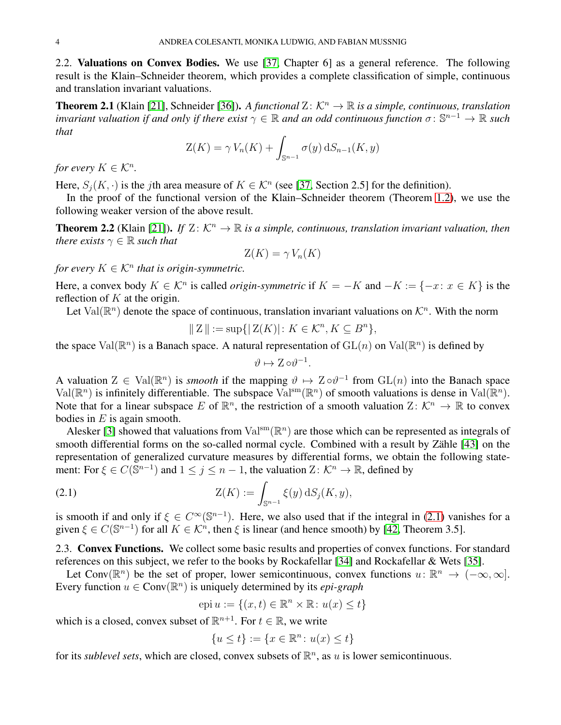2.2. Valuations on Convex Bodies. We use [\[37,](#page-23-2) Chapter 6] as a general reference. The following result is the Klain–Schneider theorem, which provides a complete classification of simple, continuous and translation invariant valuations.

**Theorem 2.1** (Klain [\[21\]](#page-23-27), Schneider [\[36\]](#page-23-28)). A functional  $\mathbb{Z}$ :  $\mathcal{K}^n \to \mathbb{R}$  is a simple, continuous, translation *invariant valuation if and only if there exist*  $\gamma \in \mathbb{R}$  and an odd continuous function  $\sigma: \mathbb{S}^{n-1} \to \mathbb{R}$  such *that*

$$
Z(K) = \gamma V_n(K) + \int_{\mathbb{S}^{n-1}} \sigma(y) \, dS_{n-1}(K, y)
$$

*for every*  $K \in \mathcal{K}^n$ .

Here,  $S_j(K, \cdot)$  is the *j*th area measure of  $K \in \mathcal{K}^n$  (see [\[37,](#page-23-2) Section 2.5] for the definition).

In the proof of the functional version of the Klain–Schneider theorem (Theorem [1.2\)](#page-1-0), we use the following weaker version of the above result.

<span id="page-3-2"></span>**Theorem 2.2** (Klain [\[21\]](#page-23-27)). *If*  $Z: K^n \to \mathbb{R}$  *is a simple, continuous, translation invariant valuation, then there exists*  $\gamma \in \mathbb{R}$  *such that* 

$$
\mathcal{Z}(K) = \gamma V_n(K)
$$

*for every*  $K \in \mathcal{K}^n$  *that is origin-symmetric.* 

Here, a convex body  $K \in \mathcal{K}^n$  is called *origin-symmetric* if  $K = -K$  and  $-K := \{-x : x \in K\}$  is the reflection of  $K$  at the origin.

Let Val $(\mathbb{R}^n)$  denote the space of continuous, translation invariant valuations on  $\mathcal{K}^n$ . With the norm

$$
\|Z\|:=\sup\{|Z(K)|\colon K\in\mathcal{K}^n, K\subseteq B^n\},
$$

the space  $Val(\mathbb{R}^n)$  is a Banach space. A natural representation of  $GL(n)$  on  $Val(\mathbb{R}^n)$  is defined by

$$
\vartheta \mapsto Z \circ \vartheta^{-1}.
$$

A valuation  $Z \in \text{Val}(\mathbb{R}^n)$  is *smooth* if the mapping  $\vartheta \mapsto Z \circ \vartheta^{-1}$  from  $GL(n)$  into the Banach space Val( $\mathbb{R}^n$ ) is infinitely differentiable. The subspace Val<sup>sm</sup>( $\mathbb{R}^n$ ) of smooth valuations is dense in Val( $\mathbb{R}^n$ ). Note that for a linear subspace E of  $\mathbb{R}^n$ , the restriction of a smooth valuation  $Z: \mathcal{K}^n \to \mathbb{R}$  to convex bodies in  $E$  is again smooth.

Alesker [\[3\]](#page-23-30) showed that valuations from  $Val^{sm}(\mathbb{R}^n)$  are those which can be represented as integrals of smooth differential forms on the so-called normal cycle. Combined with a result by Zähle [\[43\]](#page-24-2) on the representation of generalized curvature measures by differential forms, we obtain the following statement: For  $\xi \in C(\bar{S}^{n-1})$  and  $1 \le j \le n-1$ , the valuation  $Z: \mathcal{K}^n \to \mathbb{R}$ , defined by

(2.1) 
$$
Z(K) := \int_{\mathbb{S}^{n-1}} \xi(y) \, dS_j(K, y),
$$

is smooth if and only if  $\xi \in C^{\infty}(\mathbb{S}^{n-1})$ . Here, we also used that if the integral in [\(2.1\)](#page-3-1) vanishes for a given  $\xi \in C(\mathbb{S}^{n-1})$  for all  $K \in \mathcal{K}^n$ , then  $\xi$  is linear (and hence smooth) by [\[42,](#page-24-3) Theorem 3.5].

<span id="page-3-0"></span>2.3. Convex Functions. We collect some basic results and properties of convex functions. For standard references on this subject, we refer to the books by Rockafellar [\[34\]](#page-23-31) and Rockafellar & Wets [\[35\]](#page-23-32).

Let Conv( $\mathbb{R}^n$ ) be the set of proper, lower semicontinuous, convex functions  $u: \mathbb{R}^n \to (-\infty, \infty]$ . Every function  $u \in Conv(\mathbb{R}^n)$  is uniquely determined by its *epi-graph* 

<span id="page-3-1"></span>
$$
epi u := \{(x, t) \in \mathbb{R}^n \times \mathbb{R} : u(x) \le t\}
$$

which is a closed, convex subset of  $\mathbb{R}^{n+1}$ . For  $t \in \mathbb{R}$ , we write

$$
\{u \le t\} := \{x \in \mathbb{R}^n \colon u(x) \le t\}
$$

for its *sublevel sets*, which are closed, convex subsets of  $\mathbb{R}^n$ , as u is lower semicontinuous.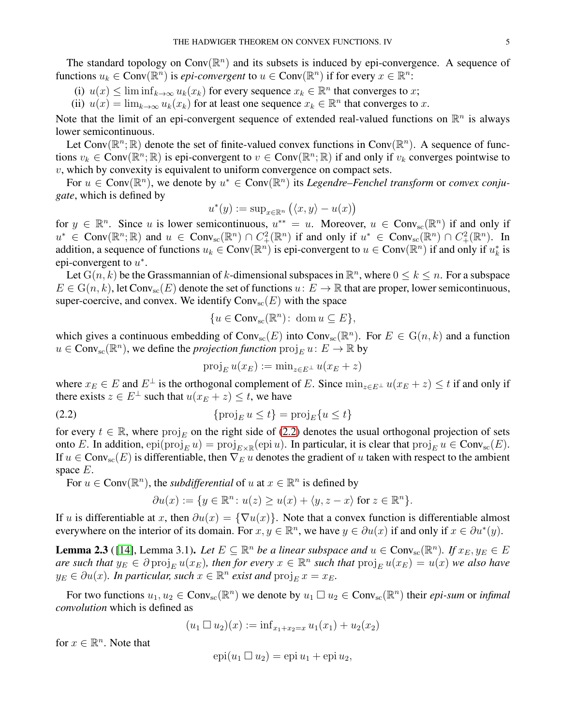The standard topology on Conv $(\mathbb{R}^n)$  and its subsets is induced by epi-convergence. A sequence of functions  $u_k \in Conv(\mathbb{R}^n)$  is *epi-convergent* to  $u \in Conv(\mathbb{R}^n)$  if for every  $x \in \mathbb{R}^n$ :

(i)  $u(x) \leq \liminf_{k \to \infty} u_k(x_k)$  for every sequence  $x_k \in \mathbb{R}^n$  that converges to x;

(ii)  $u(x) = \lim_{k \to \infty} u_k(x_k)$  for at least one sequence  $x_k \in \mathbb{R}^n$  that converges to x.

Note that the limit of an epi-convergent sequence of extended real-valued functions on  $\mathbb{R}^n$  is always lower semicontinuous.

Let Conv $(\mathbb{R}^n; \mathbb{R})$  denote the set of finite-valued convex functions in Conv $(\mathbb{R}^n)$ . A sequence of functions  $v_k \in Conv(\mathbb{R}^n; \mathbb{R})$  is epi-convergent to  $v \in Conv(\mathbb{R}^n; \mathbb{R})$  if and only if  $v_k$  converges pointwise to  $v$ , which by convexity is equivalent to uniform convergence on compact sets.

For  $u \in Conv(\mathbb{R}^n)$ , we denote by  $u^* \in Conv(\mathbb{R}^n)$  its *Legendre–Fenchel transform* or *convex conjugate*, which is defined by

$$
u^*(y) := \sup_{x \in \mathbb{R}^n} (\langle x, y \rangle - u(x))
$$

for  $y \in \mathbb{R}^n$ . Since u is lower semicontinuous,  $u^{**} = u$ . Moreover,  $u \in Conv_{sc}(\mathbb{R}^n)$  if and only if  $u^* \in Conv(\mathbb{R}^n; \mathbb{R})$  and  $u \in Conv_{sc}(\mathbb{R}^n) \cap C^2_+(\mathbb{R}^n)$  if and only if  $u^* \in Conv_{sc}(\mathbb{R}^n) \cap C^2_+(\mathbb{R}^n)$ . In addition, a sequence of functions  $u_k \in Conv(\mathbb{R}^n)$  is epi-convergent to  $u \in Conv(\mathbb{R}^n)$  if and only if  $u_k^*$  is epi-convergent to  $u^*$ .

Let  $G(n, k)$  be the Grassmannian of k-dimensional subspaces in  $\mathbb{R}^n$ , where  $0 \le k \le n$ . For a subspace  $E \in G(n, k)$ , let Conv<sub>sc</sub> $(E)$  denote the set of functions  $u: E \to \mathbb{R}$  that are proper, lower semicontinuous, super-coercive, and convex. We identify  $Conv_{sc}(E)$  with the space

$$
\{u \in Conv_{\rm sc}(\mathbb{R}^n): \text{ dom } u \subseteq E\},\
$$

which gives a continuous embedding of  $Conv_{sc}(E)$  into  $Conv_{sc}(\mathbb{R}^n)$ . For  $E \in G(n, k)$  and a function  $u \in Conv_{sc}(\mathbb{R}^n)$ , we define the *projection function*  $proj_E u: E \to \mathbb{R}$  by

<span id="page-4-0"></span>
$$
\operatorname{proj}_E u(x_E) := \min_{z \in E^\perp} u(x_E + z)
$$

where  $x_E \in E$  and  $E^{\perp}$  is the orthogonal complement of E. Since  $\min_{z \in E^{\perp}} u(x_E + z) \le t$  if and only if there exists  $z \in E^{\perp}$  such that  $u(x_E + z) \leq t$ , we have

(2.2) 
$$
\{\operatorname{proj}_E u \le t\} = \operatorname{proj}_E \{u \le t\}
$$

for every  $t \in \mathbb{R}$ , where  $\text{proj}_E$  on the right side of [\(2.2\)](#page-4-0) denotes the usual orthogonal projection of sets onto E. In addition,  $epi(proj_E u) = proj_{E \times \mathbb{R}}(epi u)$ . In particular, it is clear that  $proj_E u \in Conv_{sc}(E)$ . If  $u \in Conv_{sc}(E)$  is differentiable, then  $\nabla_E u$  denotes the gradient of u taken with respect to the ambient space  $E$ .

For  $u \in Conv(\mathbb{R}^n)$ , the *subdifferential* of  $u$  at  $x \in \mathbb{R}^n$  is defined by

$$
\partial u(x) := \{ y \in \mathbb{R}^n \colon u(z) \ge u(x) + \langle y, z - x \rangle \text{ for } z \in \mathbb{R}^n \}.
$$

If u is differentiable at x, then  $\partial u(x) = {\nabla u(x)}$ . Note that a convex function is differentiable almost everywhere on the interior of its domain. For  $x, y \in \mathbb{R}^n$ , we have  $y \in \partial u(x)$  if and only if  $x \in \partial u^*(y)$ .

<span id="page-4-1"></span>**Lemma 2.3** ([14], Lemma 3.1). Let  $E \subseteq \mathbb{R}^n$  be a linear subspace and  $u \in Conv_{sc}(\mathbb{R}^n)$ . If  $x_E, y_E \in E$ *are such that*  $y_E \in \partial \text{proj}_E u(x_E)$ , then for every  $x \in \mathbb{R}^n$  such that  $\text{proj}_E u(x_E) = u(x)$  *we also have*  $y_E \in \partial u(x)$ . In particular, such  $x \in \mathbb{R}^n$  exist and  $\text{proj}_E x = x_E$ .

For two functions  $u_1, u_2 \in Conv_{sc}(\mathbb{R}^n)$  we denote by  $u_1 \square u_2 \in Conv_{sc}(\mathbb{R}^n)$  their *epi-sum* or *infimal convolution* which is defined as

$$
(u_1 \square u_2)(x) := \inf_{x_1 + x_2 = x} u_1(x_1) + u_2(x_2)
$$

for  $x \in \mathbb{R}^n$ . Note that

$$
epi(u_1 \Box u_2) = epi u_1 + epi u_2,
$$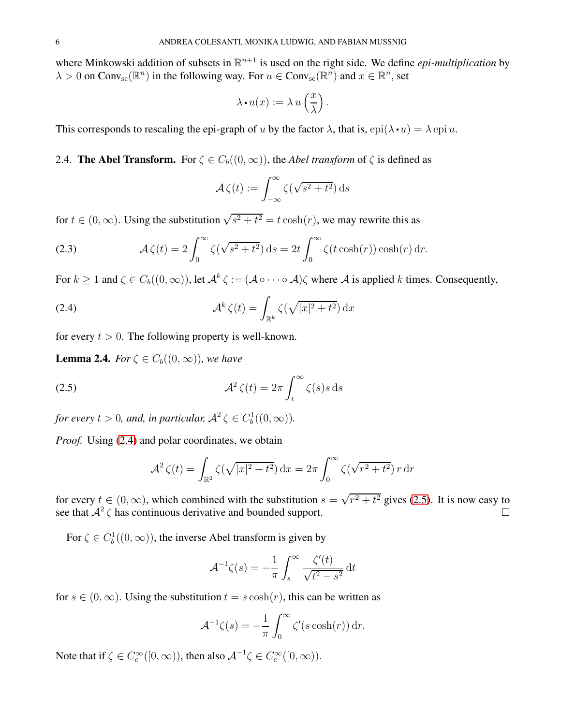where Minkowski addition of subsets in  $\mathbb{R}^{n+1}$  is used on the right side. We define *epi-multiplication* by  $\lambda > 0$  on Conv<sub>sc</sub>( $\mathbb{R}^n$ ) in the following way. For  $u \in Conv_{\text{sc}}(\mathbb{R}^n)$  and  $x \in \mathbb{R}^n$ , set

$$
\lambda \cdot u(x) := \lambda \, u\left(\frac{x}{\lambda}\right).
$$

This corresponds to rescaling the epi-graph of u by the factor  $\lambda$ , that is, epi( $\lambda u = \lambda$  epiu.

<span id="page-5-2"></span>2.4. **The Abel Transform.** For  $\zeta \in C_b((0,\infty))$ , the *Abel transform* of  $\zeta$  is defined as

<span id="page-5-0"></span>
$$
\mathcal{A}\,\zeta(t) := \int_{-\infty}^{\infty} \zeta(\sqrt{s^2 + t^2})\,\mathrm{d}s
$$

for  $t \in (0, \infty)$ . Using the substitution  $\sqrt{s^2 + t^2} = t \cosh(r)$ , we may rewrite this as

<span id="page-5-3"></span>(2.3) 
$$
\mathcal{A}\zeta(t) = 2\int_0^\infty \zeta(\sqrt{s^2+t^2}) ds = 2t \int_0^\infty \zeta(t\cosh(r)) \cosh(r) dr.
$$

For  $k \ge 1$  and  $\zeta \in C_b((0,\infty))$ , let  $\mathcal{A}^k \zeta := (\mathcal{A} \circ \cdots \circ \mathcal{A})\zeta$  where  $\mathcal{A}$  is applied k times. Consequently,

(2.4) 
$$
\mathcal{A}^k \zeta(t) = \int_{\mathbb{R}^k} \zeta(\sqrt{|x|^2 + t^2}) dx
$$

for every  $t > 0$ . The following property is well-known.

<span id="page-5-4"></span>**Lemma 2.4.** *For*  $\zeta \in C_b((0,\infty))$ *, we have* 

(2.5) 
$$
\mathcal{A}^2 \zeta(t) = 2\pi \int_t^\infty \zeta(s) s \, ds
$$

for every  $t > 0$ , and, in particular,  $A^2 \zeta \in C_b^1((0, \infty))$ .

*Proof.* Using [\(2.4\)](#page-5-0) and polar coordinates, we obtain

<span id="page-5-1"></span>
$$
\mathcal{A}^2 \zeta(t) = \int_{\mathbb{R}^2} \zeta(\sqrt{|x|^2 + t^2}) \, \mathrm{d}x = 2\pi \int_0^\infty \zeta(\sqrt{r^2 + t^2}) \, r \, \mathrm{d}r
$$

for every  $t \in (0, \infty)$ , which combined with the substitution  $s = \sqrt{r^2 + t^2}$  gives [\(2.5\)](#page-5-1). It is now easy to see that  $A^2 \zeta$  has continuous derivative and bounded support.

For  $\zeta \in C_b^1((0,\infty))$ , the inverse Abel transform is given by

$$
\mathcal{A}^{-1}\zeta(s) = -\frac{1}{\pi} \int_s^\infty \frac{\zeta'(t)}{\sqrt{t^2 - s^2}} dt
$$

for  $s \in (0, \infty)$ . Using the substitution  $t = s \cosh(r)$ , this can be written as

$$
\mathcal{A}^{-1}\zeta(s) = -\frac{1}{\pi} \int_0^\infty \zeta'(s \cosh(r)) dr.
$$

Note that if  $\zeta \in C_c^{\infty}([0,\infty))$ , then also  $\mathcal{A}^{-1}\zeta \in C_c^{\infty}([0,\infty))$ .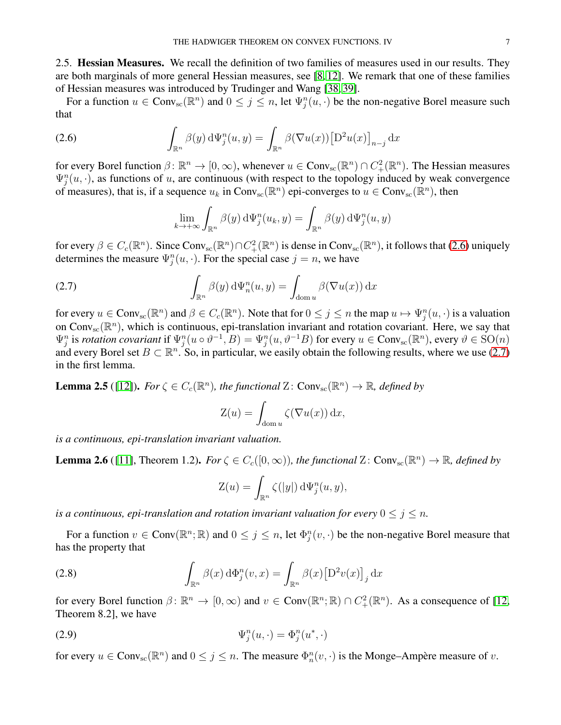<span id="page-6-0"></span>2.5. Hessian Measures. We recall the definition of two families of measures used in our results. They are both marginals of more general Hessian measures, see [\[8,](#page-23-33) [12\]](#page-23-34). We remark that one of these families of Hessian measures was introduced by Trudinger and Wang [\[38,](#page-23-35) [39\]](#page-24-4).

For a function  $u \in Conv_{sc}(\mathbb{R}^n)$  and  $0 \le j \le n$ , let  $\Psi_j^n(u, \cdot)$  be the non-negative Borel measure such that

(2.6) 
$$
\int_{\mathbb{R}^n} \beta(y) d\Psi_j^n(u, y) = \int_{\mathbb{R}^n} \beta(\nabla u(x)) [\mathcal{D}^2 u(x)]_{n-j} dx
$$

for every Borel function  $\beta \colon \mathbb{R}^n \to [0, \infty)$ , whenever  $u \in Conv_{\text{sc}}(\mathbb{R}^n) \cap C^2_+(\mathbb{R}^n)$ . The Hessian measures  $\Psi_j^n(u, \cdot)$ , as functions of u, are continuous (with respect to the topology induced by weak convergence of measures), that is, if a sequence  $u_k$  in Conv<sub>sc</sub> $(\mathbb{R}^n)$  epi-converges to  $u \in Conv_{sc}(\mathbb{R}^n)$ , then

<span id="page-6-2"></span><span id="page-6-1"></span>
$$
\lim_{k \to +\infty} \int_{\mathbb{R}^n} \beta(y) \, d\Psi_j^n(u_k, y) = \int_{\mathbb{R}^n} \beta(y) \, d\Psi_j^n(u, y)
$$

for every  $\beta \in C_c(\mathbb{R}^n)$ . Since Conv<sub>sc</sub> $(\mathbb{R}^n) \cap C^2_+(\mathbb{R}^n)$  is dense in Conv<sub>sc</sub> $(\mathbb{R}^n)$ , it follows that [\(2.6\)](#page-6-1) uniquely determines the measure  $\Psi_j^n(u, \cdot)$ . For the special case  $j = n$ , we have

(2.7) 
$$
\int_{\mathbb{R}^n} \beta(y) d\Psi_n^n(u, y) = \int_{\text{dom } u} \beta(\nabla u(x)) dx
$$

for every  $u \in Conv_{sc}(\mathbb{R}^n)$  and  $\beta \in C_c(\mathbb{R}^n)$ . Note that for  $0 \le j \le n$  the map  $u \mapsto \Psi_j^n(u, \cdot)$  is a valuation on Conv<sub>sc</sub>( $\mathbb{R}^n$ ), which is continuous, epi-translation invariant and rotation covariant. Here, we say that  $\Psi_j^n$  is *rotation covariant* if  $\Psi_j^n(u \circ \vartheta^{-1}, B) = \Psi_j^n(u, \vartheta^{-1}B)$  for every  $u \in Conv_{\rm sc}(\mathbb{R}^n)$ , every  $\vartheta \in SO(n)$ and every Borel set  $B \subset \mathbb{R}^n$ . So, in particular, we easily obtain the following results, where we use [\(2.7\)](#page-6-2) in the first lemma.

<span id="page-6-4"></span>**Lemma 2.5** ([\[12\]](#page-23-34)). *For*  $\zeta \in C_c(\mathbb{R}^n)$ , the functional Z:  $Conv_{\text{sc}}(\mathbb{R}^n) \to \mathbb{R}$ , defined by

$$
Z(u) = \int_{\text{dom } u} \zeta(\nabla u(x)) \, \mathrm{d}x,
$$

*is a continuous, epi-translation invariant valuation.*

<span id="page-6-6"></span>**Lemma 2.6** ([\[11\]](#page-23-21), Theorem 1.2). *For*  $\zeta \in C_c([0,\infty))$ , the functional Z: Conv<sub>sc</sub>( $\mathbb{R}^n$ )  $\to \mathbb{R}$ , defined by

<span id="page-6-5"></span><span id="page-6-3"></span>
$$
Z(u) = \int_{\mathbb{R}^n} \zeta(|y|) d\Psi_j^n(u, y),
$$

*is a continuous, epi-translation and rotation invariant valuation for every*  $0 \leq j \leq n$ .

For a function  $v \in Conv(\mathbb{R}^n; \mathbb{R})$  and  $0 \le j \le n$ , let  $\Phi_j^n(v, \cdot)$  be the non-negative Borel measure that has the property that

(2.8) 
$$
\int_{\mathbb{R}^n} \beta(x) d\Phi_j^n(v, x) = \int_{\mathbb{R}^n} \beta(x) \left[ D^2 v(x) \right]_j dx
$$

for every Borel function  $\beta \colon \mathbb{R}^n \to [0, \infty)$  and  $v \in Conv(\mathbb{R}^n; \mathbb{R}) \cap C^2_+(\mathbb{R}^n)$ . As a consequence of [\[12,](#page-23-34) Theorem 8.2], we have

$$
\Psi_j^n(u, \cdot) = \Phi_j^n(u^*, \cdot)
$$

for every  $u \in Conv_{\text{sc}}(\mathbb{R}^n)$  and  $0 \le j \le n$ . The measure  $\Phi_n^n(v, \cdot)$  is the Monge–Ampère measure of v.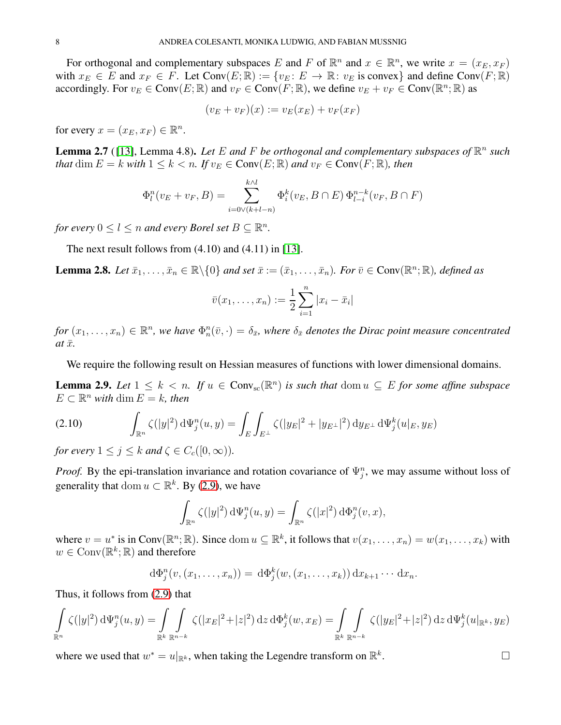For orthogonal and complementary subspaces E and F of  $\mathbb{R}^n$  and  $x \in \mathbb{R}^n$ , we write  $x = (x_E, x_F)$ with  $x_E \in E$  and  $x_F \in F$ . Let  $Conv(E; \mathbb{R}) := \{v_E : E \to \mathbb{R} : v_E \text{ is convex}\}\$  and define  $Conv(F; \mathbb{R})$ accordingly. For  $v_E \in \text{Conv}(E; \mathbb{R})$  and  $v_F \in \text{Conv}(F; \mathbb{R})$ , we define  $v_E + v_F \in \text{Conv}(\mathbb{R}^n; \mathbb{R})$  as

 $(v_E + v_F)(x) := v_E(x_E) + v_F(x_F)$ 

for every  $x = (x_E, x_F) \in \mathbb{R}^n$ .

<span id="page-7-2"></span>**Lemma 2.7** ([13], Lemma 4.8). Let E and F be orthogonal and complementary subspaces of  $\mathbb{R}^n$  such *that* dim  $E = k$  *with*  $1 \leq k < n$ *. If*  $v_E \in Conv(E; \mathbb{R})$  *and*  $v_F \in Conv(F; \mathbb{R})$ *, then* 

$$
\Phi_l^n(v_E + v_F, B) = \sum_{i=0 \vee (k+l-n)}^{k \wedge l} \Phi_i^k(v_E, B \cap E) \Phi_{l-i}^{n-k}(v_F, B \cap F)
$$

*for every*  $0 \leq l \leq n$  *and every Borel set*  $B \subseteq \mathbb{R}^n$ *.* 

The next result follows from  $(4.10)$  and  $(4.11)$  in [\[13\]](#page-23-24).

<span id="page-7-3"></span>**Lemma 2.8.** Let  $\bar{x}_1, \ldots, \bar{x}_n \in \mathbb{R} \setminus \{0\}$  and set  $\bar{x} := (\bar{x}_1, \ldots, \bar{x}_n)$ . For  $\bar{v} \in \text{Conv}(\mathbb{R}^n; \mathbb{R})$ , defined as

$$
\bar{v}(x_1,...,x_n) := \frac{1}{2} \sum_{i=1}^n |x_i - \bar{x}_i|
$$

 $for(x_1,...,x_n)\in\mathbb{R}^n$ , we have  $\Phi_n^n(\bar{v},\cdot)=\delta_{\bar{x}}$ , where  $\delta_{\bar{x}}$  denotes the Dirac point measure concentrated  $at\,\bar{x}$ *.* 

We require the following result on Hessian measures of functions with lower dimensional domains.

<span id="page-7-1"></span>**Lemma 2.9.** Let  $1 \leq k < n$ . If  $u \in Conv_{sc}(\mathbb{R}^n)$  is such that  $dom u \subseteq E$  for some affine subspace  $E \subset \mathbb{R}^n$  with  $\dim E = k$ , then

<span id="page-7-0"></span>(2.10) 
$$
\int_{\mathbb{R}^n} \zeta(|y|^2) \, \mathrm{d}\Psi_j^n(u, y) = \int_E \int_{E^\perp} \zeta(|y_E|^2 + |y_{E^\perp}|^2) \, \mathrm{d}y_{E^\perp} \, \mathrm{d}\Psi_j^k(u|_{E}, y_E)
$$

*for every*  $1 \leq j \leq k$  *and*  $\zeta \in C_c([0,\infty))$ *.* 

*Proof.* By the epi-translation invariance and rotation covariance of  $\Psi_j^n$ , we may assume without loss of generality that dom  $u \subset \mathbb{R}^k$ . By [\(2.9\)](#page-6-3), we have

$$
\int_{\mathbb{R}^n} \zeta(|y|^2) \, \mathrm{d}\Psi_j^n(u, y) = \int_{\mathbb{R}^n} \zeta(|x|^2) \, \mathrm{d}\Phi_j^n(v, x),
$$

where  $v = u^*$  is in Conv $(\mathbb{R}^n; \mathbb{R})$ . Since dom  $u \subseteq \mathbb{R}^k$ , it follows that  $v(x_1, \dots, x_n) = w(x_1, \dots, x_k)$  with  $w \in Conv(\mathbb{R}^k; \mathbb{R})$  and therefore

$$
d\Phi_j^n(v,(x_1,\ldots,x_n))=d\Phi_j^k(w,(x_1,\ldots,x_k))dx_{k+1}\cdots dx_n.
$$

Thus, it follows from [\(2.9\)](#page-6-3) that

$$
\int_{\mathbb{R}^n} \zeta(|y|^2) \, \mathrm{d} \Psi_j^n(u, y) = \int_{\mathbb{R}^k} \int_{\mathbb{R}^{n-k}} \zeta(|x_E|^2 + |z|^2) \, \mathrm{d} z \, \mathrm{d} \Phi_j^k(w, x_E) = \int_{\mathbb{R}^k} \int_{\mathbb{R}^{n-k}} \zeta(|y_E|^2 + |z|^2) \, \mathrm{d} z \, \mathrm{d} \Psi_j^k(u|_{\mathbb{R}^k}, y_E)
$$

where we used that  $w^* = u|_{\mathbb{R}^k}$ , when taking the Legendre transform on  $\mathbb{R}^k$ 

. — Первый процесс в постановки программа в серверном становки производительно становки производите с производ<br>В серверном становки производительно становки производительно становки производительно становки производительн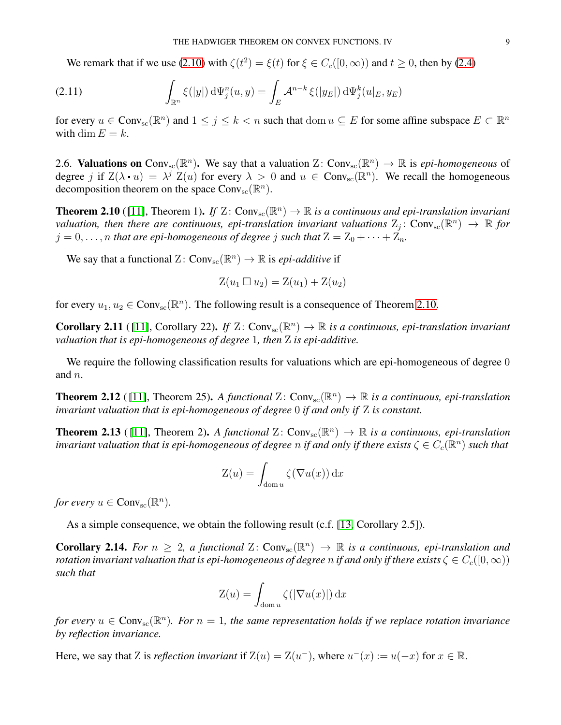<span id="page-8-5"></span>We remark that if we use [\(2.10\)](#page-7-0) with  $\zeta(t^2) = \xi(t)$  for  $\xi \in C_c([0,\infty))$  and  $t \ge 0$ , then by [\(2.4\)](#page-5-0)

(2.11) 
$$
\int_{\mathbb{R}^n} \xi(|y|) d\Psi_j^n(u, y) = \int_E \mathcal{A}^{n-k} \xi(|y_E|) d\Psi_j^k(u|_E, y_E)
$$

for every  $u \in Conv_{sc}(\mathbb{R}^n)$  and  $1 \leq j \leq k < n$  such that  $dom u \subseteq E$  for some affine subspace  $E \subset \mathbb{R}^n$ with dim  $E = k$ .

2.6. **Valuations on** Conv<sub>sc</sub>( $\mathbb{R}^n$ ). We say that a valuation Z: Conv<sub>sc</sub>( $\mathbb{R}^n$ )  $\to \mathbb{R}$  is *epi-homogeneous* of degree j if  $Z(\lambda, u) = \lambda^j Z(u)$  for every  $\lambda > 0$  and  $u \in Conv_{sc}(\mathbb{R}^n)$ . We recall the homogeneous decomposition theorem on the space  $Conv_{sc}(\mathbb{R}^n)$ .

<span id="page-8-0"></span>**Theorem 2.10** ([\[11\]](#page-23-21), Theorem 1). If  $Z: Conv_{sc}(\mathbb{R}^n) \to \mathbb{R}$  is a continuous and epi-translation invariant *valuation, then there are continuous, epi-translation invariant valuations*  $Z_j$ :  $Conv_{sc}(\mathbb{R}^n) \to \mathbb{R}$  for  $j = 0, \ldots, n$  *that are epi-homogeneous of degree* j *such that*  $Z = Z_0 + \cdots + Z_n$ *.* 

We say that a functional  $Z: Conv_{sc}(\mathbb{R}^n) \to \mathbb{R}$  is *epi-additive* if

$$
Z(u_1 \square u_2) = Z(u_1) + Z(u_2)
$$

for every  $u_1, u_2 \in Conv_{\text{sc}}(\mathbb{R}^n)$ . The following result is a consequence of Theorem [2.10.](#page-8-0)

<span id="page-8-4"></span>**Corollary 2.11** ([11], Corollary 22). If  $Z: Conv_{sc}(\mathbb{R}^n) \to \mathbb{R}$  is a continuous, epi-translation invariant *valuation that is epi-homogeneous of degree* 1*, then* Z *is epi-additive.*

We require the following classification results for valuations which are epi-homogeneous of degree 0 and n.

<span id="page-8-1"></span>**Theorem 2.12** ([11], Theorem 25). A functional Z:  $Conv_{sc}(\mathbb{R}^n) \to \mathbb{R}$  is a continuous, epi-translation *invariant valuation that is epi-homogeneous of degree* 0 *if and only if* Z *is constant.*

<span id="page-8-3"></span>**Theorem 2.13** ([11], Theorem 2). A functional  $Z: Conv_{sc}(\mathbb{R}^n) \to \mathbb{R}$  is a continuous, epi-translation *invariant valuation that is epi-homogeneous of degree*  $n$  *if and only if there exists*  $\zeta \in C_c(\R^n)$  *such that* 

$$
Z(u) = \int_{\text{dom } u} \zeta(\nabla u(x)) \, \mathrm{d}x
$$

*for every*  $u \in Conv_{\rm sc}(\mathbb{R}^n)$ .

As a simple consequence, we obtain the following result (c.f. [\[13,](#page-23-24) Corollary 2.5]).

<span id="page-8-2"></span>**Corollary 2.14.** For  $n \geq 2$ , a functional  $\mathbb{Z}$ : Conv<sub>sc</sub> $(\mathbb{R}^n) \to \mathbb{R}$  is a continuous, epi-translation and *rotation invariant valuation that is epi-homogeneous of degree n if and only if there exists*  $\zeta \in C_c([0,\infty))$ *such that*

$$
Z(u) = \int_{\text{dom } u} \zeta(|\nabla u(x)|) \,dx
$$

*for every*  $u \in Conv_{\text{sc}}(\mathbb{R}^n)$ . For  $n = 1$ , the same representation holds if we replace rotation invariance *by reflection invariance.*

Here, we say that Z is *reflection invariant* if  $Z(u) = Z(u^-)$ , where  $u^-(x) := u(-x)$  for  $x \in \mathbb{R}$ .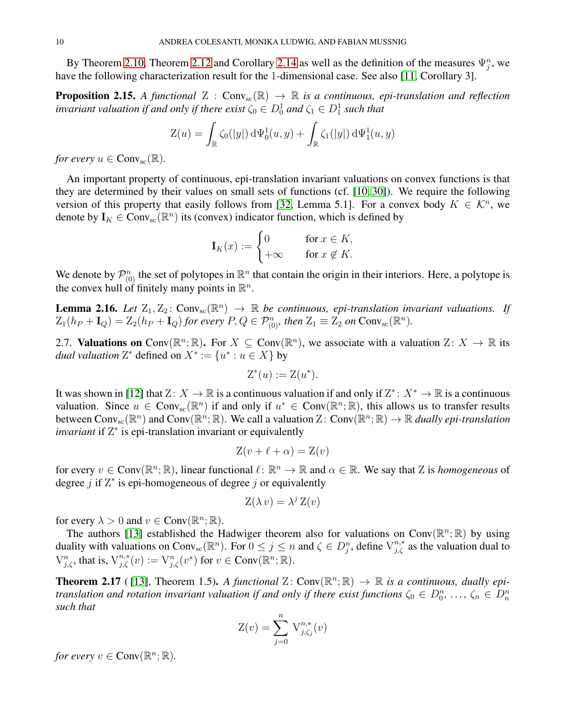By Theorem [2.10,](#page-8-0) Theorem [2.12](#page-8-1) and Corollary [2.14](#page-8-2) as well as the definition of the measures  $\Psi_j^n$ , we have the following characterization result for the 1-dimensional case. See also [\[11,](#page-23-21) Corollary 3].

<span id="page-9-0"></span>**Proposition 2.15.** A functional  $Z : Conv_{sc}(\mathbb{R}) \to \mathbb{R}$  is a continuous, epi-translation and reflection *invariant valuation if and only if there exist*  $\zeta_0 \in D^1_0$  and  $\zeta_1 \in D^1_1$  such that

$$
Z(u) = \int_{\mathbb{R}} \zeta_0(|y|) d\Psi_0^1(u, y) + \int_{\mathbb{R}} \zeta_1(|y|) d\Psi_1^1(u, y)
$$

*for every*  $u \in Conv_{\rm sc}(\mathbb{R})$ .

An important property of continuous, epi-translation invariant valuations on convex functions is that they are determined by their values on small sets of functions (cf. [\[10,](#page-23-17) [30\]](#page-23-15)). We require the following version of this property that easily follows from [\[32,](#page-23-18) Lemma 5.1]. For a convex body  $K \in \mathcal{K}^n$ , we denote by  $I_K \in Conv_{sc}(\mathbb{R}^n)$  its (convex) indicator function, which is defined by

$$
\mathbf{I}_K(x) := \begin{cases} 0 & \text{for } x \in K, \\ +\infty & \text{for } x \notin K. \end{cases}
$$

We denote by  $\mathcal{P}_{(0)}^n$  the set of polytopes in  $\mathbb{R}^n$  that contain the origin in their interiors. Here, a polytope is the convex hull of finitely many points in  $\mathbb{R}^n$ .

<span id="page-9-1"></span>**Lemma 2.16.** *Let*  $Z_1, Z_2$ :  $Conv_{sc}(\mathbb{R}^n) \rightarrow \mathbb{R}$  *be continuous, epi-translation invariant valuations. If*  $Z_1(h_P + \mathbf{I}_Q) = Z_2(h_P + \mathbf{I}_Q)$  for every  $P, Q \in \mathcal{P}_{(0)}^n$ , then  $Z_1 \equiv Z_2$  on  $\text{Conv}_{\text{sc}}(\mathbb{R}^n)$ .

2.7. Valuations on Conv $(\mathbb{R}^n; \mathbb{R})$ . For  $X \subseteq \text{Conv}(\mathbb{R}^n)$ , we associate with a valuation  $Z: X \to \mathbb{R}$  its *dual valuation*  $Z^*$  defined on  $X^* := \{u^* : u \in X\}$  by

$$
\mathcal{Z}^*(u) := \mathcal{Z}(u^*).
$$

It was shown in [\[12\]](#page-23-34) that  $Z: X \to \mathbb{R}$  is a continuous valuation if and only if  $Z^*: X^* \to \mathbb{R}$  is a continuous valuation. Since  $u \in Conv_{sc}(\mathbb{R}^n)$  if and only if  $u^* \in Conv(\mathbb{R}^n;\mathbb{R})$ , this allows us to transfer results between  $Conv_{sc}(\mathbb{R}^n)$  and  $Conv(\mathbb{R}^n;\mathbb{R})$ . We call a valuation  $Z: Conv(\mathbb{R}^n;\mathbb{R}) \to \mathbb{R}$  *dually epi-translation invariant* if Z<sup>\*</sup> is epi-translation invariant or equivalently

$$
Z(v + \ell + \alpha) = Z(v)
$$

for every  $v \in Conv(\mathbb{R}^n; \mathbb{R})$ , linear functional  $\ell \colon \mathbb{R}^n \to \mathbb{R}$  and  $\alpha \in \mathbb{R}$ . We say that Z is *homogeneous* of degree  $j$  if  $Z^*$  is epi-homogeneous of degree  $j$  or equivalently

$$
Z(\lambda v) = \lambda^j Z(v)
$$

for every  $\lambda > 0$  and  $v \in Conv(\mathbb{R}^n; \mathbb{R})$ .

The authors [\[13\]](#page-23-24) established the Hadwiger theorem also for valuations on Conv $(\mathbb{R}^n;\mathbb{R})$  by using duality with valuations on Conv<sub>sc</sub>( $\mathbb{R}^n$ ). For  $0 \le j \le n$  and  $\zeta \in D_j^n$ , define  $V_{j,\zeta}^{n,*}$  as the valuation dual to  $V_{j,\zeta}^n$ , that is,  $V_{j,\zeta}^{n,*}(v) := V_{j,\zeta}^n(v^*)$  for  $v \in Conv(\mathbb{R}^n;\mathbb{R})$ .

<span id="page-9-2"></span>**Theorem 2.17** ([13], Theorem 1.5). A functional  $Z: Conv(\mathbb{R}^n; \mathbb{R}) \to \mathbb{R}$  is a continuous, dually epi*translation and rotation invariant valuation if and only if there exist functions*  $\zeta_0 \in D_0^n$ ,  $\ldots$ ,  $\zeta_n \in D_n^n$ *such that*

$$
Z(v) = \sum_{j=0}^{n} V_{j,\zeta_j}^{n,*}(v)
$$

*for every*  $v \in Conv(\mathbb{R}^n; \mathbb{R})$ .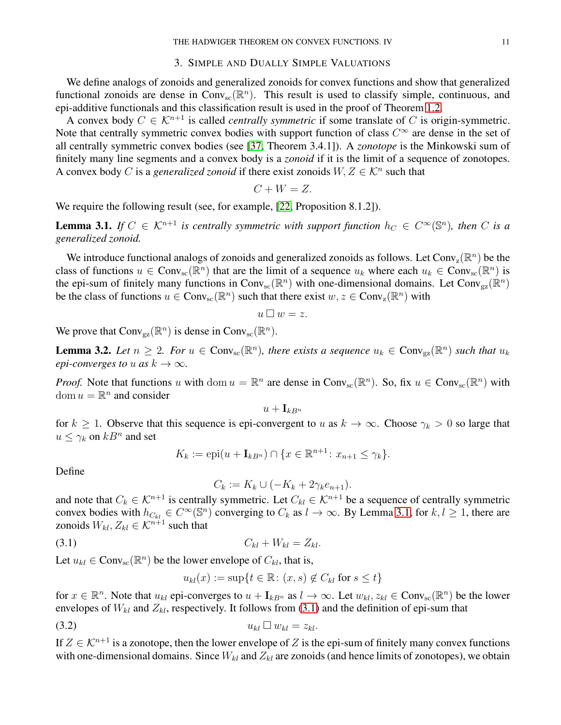### 3. SIMPLE AND DUALLY SIMPLE VALUATIONS

<span id="page-10-0"></span>We define analogs of zonoids and generalized zonoids for convex functions and show that generalized functional zonoids are dense in  $Conv_{sc}(\mathbb{R}^n)$ . This result is used to classify simple, continuous, and epi-additive functionals and this classification result is used in the proof of Theorem [1.2.](#page-1-0)

A convex body  $C \in \mathcal{K}^{n+1}$  is called *centrally symmetric* if some translate of C is origin-symmetric. Note that centrally symmetric convex bodies with support function of class  $C^{\infty}$  are dense in the set of all centrally symmetric convex bodies (see [\[37,](#page-23-2) Theorem 3.4.1]). A *zonotope* is the Minkowski sum of finitely many line segments and a convex body is a *zonoid* if it is the limit of a sequence of zonotopes. A convex body C is a *generalized zonoid* if there exist zonoids  $W, Z \in \mathcal{K}^n$  such that

$$
C + W = Z.
$$

We require the following result (see, for example, [\[22,](#page-23-1) Proposition 8.1.2]).

<span id="page-10-2"></span>**Lemma 3.1.** *If*  $C \in \mathcal{K}^{n+1}$  *is centrally symmetric with support function*  $h_C \in C^{\infty}(\mathbb{S}^n)$ *, then C is a generalized zonoid.*

We introduce functional analogs of zonoids and generalized zonoids as follows. Let Conv<sub>z</sub>( $\mathbb{R}^n$ ) be the class of functions  $u \in Conv_{sc}(\mathbb{R}^n)$  that are the limit of a sequence  $u_k$  where each  $u_k \in Conv_{sc}(\mathbb{R}^n)$  is the epi-sum of finitely many functions in Conv<sub>sc</sub>( $\mathbb{R}^n$ ) with one-dimensional domains. Let Conv<sub>gz</sub>( $\mathbb{R}^n$ ) be the class of functions  $u \in Conv_{sc}(\mathbb{R}^n)$  such that there exist  $w, z \in Conv_{z}(\mathbb{R}^n)$  with

$$
u\,\square\, w=z.
$$

We prove that  $Conv_{\text{gz}}(\mathbb{R}^n)$  is dense in  $Conv_{\text{sc}}(\mathbb{R}^n)$ .

<span id="page-10-1"></span>**Lemma 3.2.** Let  $n \geq 2$ . For  $u \in Conv_{\text{sc}}(\mathbb{R}^n)$ , there exists a sequence  $u_k \in Conv_{\text{sg}}(\mathbb{R}^n)$  such that  $u_k$ *epi-converges to* u *as*  $k \to \infty$ *.* 

*Proof.* Note that functions u with dom  $u = \mathbb{R}^n$  are dense in Conv<sub>sc</sub>( $\mathbb{R}^n$ ). So, fix  $u \in Conv_{sc}(\mathbb{R}^n)$  with dom  $u = \mathbb{R}^n$  and consider

$$
u+\mathbf{I}_{kB^n}
$$

for  $k \ge 1$ . Observe that this sequence is epi-convergent to u as  $k \to \infty$ . Choose  $\gamma_k > 0$  so large that  $u \leq \gamma_k$  on  $kB^n$  and set

$$
K_k := \text{epi}(u + \mathbf{I}_{kB^n}) \cap \{x \in \mathbb{R}^{n+1} : x_{n+1} \leq \gamma_k\}.
$$

Define

<span id="page-10-3"></span>
$$
C_k := K_k \cup (-K_k + 2\gamma_k e_{n+1}).
$$

and note that  $C_k \in \mathcal{K}^{n+1}$  is centrally symmetric. Let  $C_{kl} \in \mathcal{K}^{n+1}$  be a sequence of centrally symmetric convex bodies with  $h_{C_{kl}} \in C^{\infty}(\mathbb{S}^n)$  converging to  $C_k$  as  $l \to \infty$ . By Lemma [3.1,](#page-10-2) for  $k, l \ge 1$ , there are zonoids  $W_{kl}, Z_{kl} \in \mathcal{K}^{n+1}$  such that

$$
(3.1) \tC_{kl} + W_{kl} = Z_{kl}.
$$

Let  $u_{kl} \in Conv_{sc}(\mathbb{R}^n)$  be the lower envelope of  $C_{kl}$ , that is,

<span id="page-10-4"></span>
$$
u_{kl}(x):=\sup\{t\in\mathbb{R}\colon (x,s)\not\in C_{kl}\text{ for }s\leq t\}
$$

for  $x \in \mathbb{R}^n$ . Note that  $u_{kl}$  epi-converges to  $u + I_{kB^n}$  as  $l \to \infty$ . Let  $w_{kl}, z_{kl} \in Conv_{sc}(\mathbb{R}^n)$  be the lower envelopes of  $W_{kl}$  and  $Z_{kl}$ , respectively. It follows from [\(3.1\)](#page-10-3) and the definition of epi-sum that

(3.2) ukl wkl = zkl.

If  $Z \in \mathcal{K}^{n+1}$  is a zonotope, then the lower envelope of Z is the epi-sum of finitely many convex functions with one-dimensional domains. Since  $W_{kl}$  and  $Z_{kl}$  are zonoids (and hence limits of zonotopes), we obtain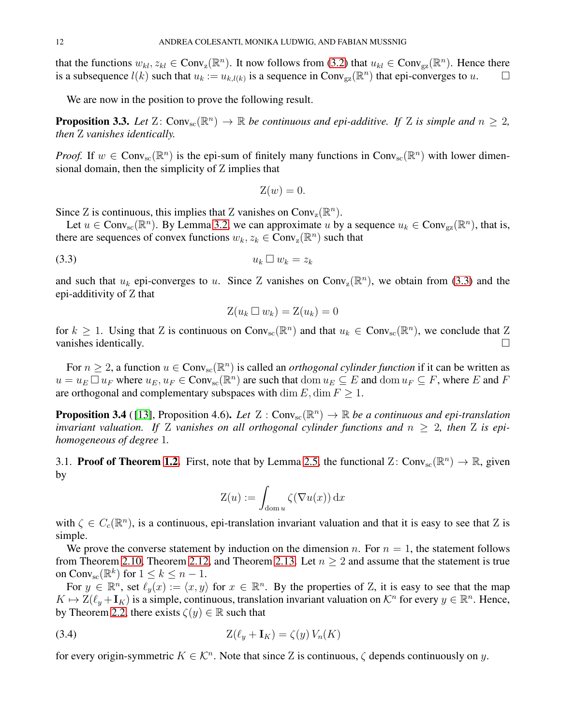that the functions  $w_{kl}, z_{kl} \in Conv_z(\mathbb{R}^n)$ . It now follows from [\(3.2\)](#page-10-4) that  $u_{kl} \in Conv_{gz}(\mathbb{R}^n)$ . Hence there is a subsequence  $l(k)$  such that  $u_k := u_{k,l(k)}$  is a sequence in Conv<sub>gz</sub>( $\mathbb{R}^n$ ) that epi-converges to  $u$ .

We are now in the position to prove the following result.

<span id="page-11-3"></span>**Proposition 3.3.** Let  $Z: Conv_{sc}(\mathbb{R}^n) \to \mathbb{R}$  be continuous and epi-additive. If Z is simple and  $n \geq 2$ , *then* Z *vanishes identically.*

*Proof.* If  $w \in Conv_{sc}(\mathbb{R}^n)$  is the epi-sum of finitely many functions in  $Conv_{sc}(\mathbb{R}^n)$  with lower dimensional domain, then the simplicity of Z implies that

$$
Z(w) = 0.
$$

Since Z is continuous, this implies that Z vanishes on  $Conv_z(\mathbb{R}^n)$ .

Let  $u \in Conv_{\text{sc}}(\mathbb{R}^n)$ . By Lemma [3.2,](#page-10-1) we can approximate u by a sequence  $u_k \in Conv_{\text{gz}}(\mathbb{R}^n)$ , that is, there are sequences of convex functions  $w_k, z_k \in Conv_z(\mathbb{R}^n)$  such that

$$
(3.3) \t\t u_k \square w_k = z_k
$$

and such that  $u_k$  epi-converges to u. Since Z vanishes on Conv<sub>z</sub>( $\mathbb{R}^n$ ), we obtain from [\(3.3\)](#page-11-0) and the epi-additivity of Z that

<span id="page-11-0"></span>
$$
Z(u_k \square w_k) = Z(u_k) = 0
$$

for  $k \ge 1$ . Using that Z is continuous on Conv<sub>sc</sub>( $\mathbb{R}^n$ ) and that  $u_k \in Conv_{sc}(\mathbb{R}^n)$ , we conclude that  $\mathbb{Z}$ vanishes identically.  $\Box$ 

For  $n \geq 2$ , a function  $u \in Conv_{sc}(\mathbb{R}^n)$  is called an *orthogonal cylinder function* if it can be written as  $u = u_E \Box u_F$  where  $u_E, u_F \in Conv_{sc}(\mathbb{R}^n)$  are such that  $dom u_E \subseteq E$  and  $dom u_F \subseteq F$ , where E and F are orthogonal and complementary subspaces with dim  $E$ , dim  $F \geq 1$ .

<span id="page-11-2"></span>**Proposition 3.4** ([13], Proposition 4.6). Let  $Z: Conv_{sc}(\mathbb{R}^n) \to \mathbb{R}$  be a continuous and epi-translation *invariant valuation.* If Z vanishes on all orthogonal cylinder functions and  $n \geq 2$ , then Z is epi*homogeneous of degree* 1*.*

3.1. **Proof of Theorem [1.2.](#page-1-0)** First, note that by Lemma [2.5,](#page-6-4) the functional  $Z: Conv_{sc}(\mathbb{R}^n) \to \mathbb{R}$ , given by

<span id="page-11-1"></span>
$$
Z(u) := \int_{\text{dom } u} \zeta(\nabla u(x)) \, \mathrm{d}x
$$

with  $\zeta \in C_c(\mathbb{R}^n)$ , is a continuous, epi-translation invariant valuation and that it is easy to see that Z is simple.

We prove the converse statement by induction on the dimension n. For  $n = 1$ , the statement follows from Theorem [2.10,](#page-8-0) Theorem [2.12,](#page-8-1) and Theorem [2.13.](#page-8-3) Let  $n \geq 2$  and assume that the statement is true on Conv<sub>sc</sub> $(\mathbb{R}^k)$  for  $1 \leq k \leq n-1$ .

For  $y \in \mathbb{R}^n$ , set  $\ell_y(x) := \langle x, y \rangle$  for  $x \in \mathbb{R}^n$ . By the properties of Z, it is easy to see that the map  $K \mapsto \mathbb{Z}(\ell_y + \mathbf{I}_K)$  is a simple, continuous, translation invariant valuation on  $\mathcal{K}^n$  for every  $y \in \mathbb{R}^n$ . Hence, by Theorem [2.2,](#page-3-2) there exists  $\zeta(y) \in \mathbb{R}$  such that

$$
Z(\ell_y + \mathbf{I}_K) = \zeta(y) V_n(K)
$$

for every origin-symmetric  $K \in \mathcal{K}^n$ . Note that since Z is continuous,  $\zeta$  depends continuously on y.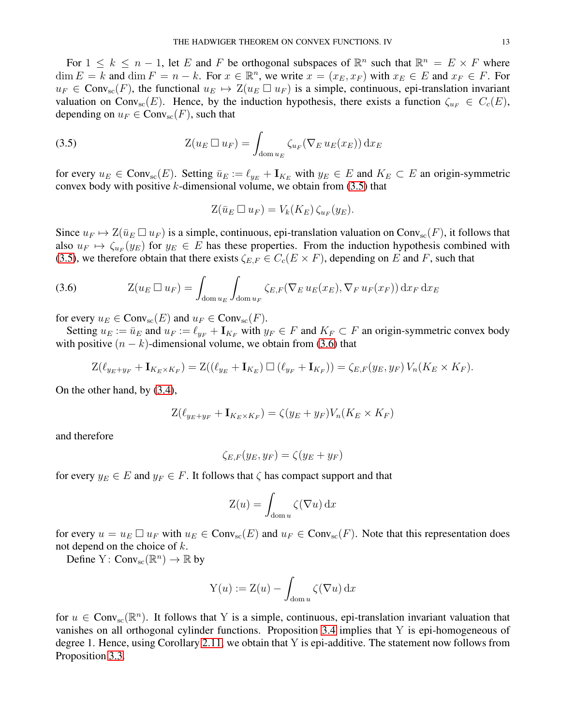For  $1 \leq k \leq n-1$ , let E and F be orthogonal subspaces of  $\mathbb{R}^n$  such that  $\mathbb{R}^n = E \times F$  where  $\dim E = k$  and  $\dim F = n - k$ . For  $x \in \mathbb{R}^n$ , we write  $x = (x_E, x_F)$  with  $x_E \in E$  and  $x_F \in F$ . For  $u_F \in Conv_{sc}(F)$ , the functional  $u_E \mapsto Z(u_E \square u_F)$  is a simple, continuous, epi-translation invariant valuation on Conv<sub>sc</sub>(E). Hence, by the induction hypothesis, there exists a function  $\zeta_{u_F} \in C_c(E)$ , depending on  $u_F \in Conv_{sc}(F)$ , such that

(3.5) 
$$
Z(u_E \sqcup u_F) = \int_{\text{dom } u_E} \zeta_{u_F} (\nabla_E u_E(x_E)) \, dx_E
$$

for every  $u_E \in Conv_{sc}(E)$ . Setting  $\bar{u}_E := \ell_{y_E} + I_{K_E}$  with  $y_E \in E$  and  $K_E \subset E$  an origin-symmetric convex body with positive  $k$ -dimensional volume, we obtain from  $(3.5)$  that

<span id="page-12-0"></span>
$$
Z(\bar{u}_E \Box u_F) = V_k(K_E) \zeta_{u_F}(y_E).
$$

Since  $u_F \mapsto Z(\bar{u}_E \Box u_F)$  is a simple, continuous, epi-translation valuation on Conv<sub>sc</sub>(F), it follows that also  $u_F \mapsto \zeta_{u_F}(y_E)$  for  $y_E \in E$  has these properties. From the induction hypothesis combined with [\(3.5\)](#page-12-0), we therefore obtain that there exists  $\zeta_{E,F} \in C_c(E \times F)$ , depending on E and F, such that

<span id="page-12-1"></span>(3.6) 
$$
Z(u_E \Box u_F) = \int_{\text{dom } u_E} \int_{\text{dom } u_F} \zeta_{E,F}(\nabla_E u_E(x_E), \nabla_F u_F(x_F)) \,dx_F \,dx_E
$$

for every  $u_E \in Conv_{\rm sc}(E)$  and  $u_F \in Conv_{\rm sc}(F)$ .

Setting  $u_E := \bar{u}_E$  and  $u_F := \ell_{y_F} + I_{K_F}$  with  $y_F \in F$  and  $K_F \subset F$  an origin-symmetric convex body with positive  $(n - k)$ -dimensional volume, we obtain from [\(3.6\)](#page-12-1) that

$$
Z(\ell_{y_E + y_F} + I_{K_E \times K_F}) = Z((\ell_{y_E} + I_{K_E}) \square (\ell_{y_F} + I_{K_F})) = \zeta_{E,F}(y_E, y_F) V_n(K_E \times K_F).
$$

On the other hand, by [\(3.4\)](#page-11-1),

$$
Z(\ell_{y_E+y_F} + \mathbf{I}_{K_E \times K_F}) = \zeta(y_E + y_F)V_n(K_E \times K_F)
$$

and therefore

$$
\zeta_{E,F}(y_E, y_F) = \zeta(y_E + y_F)
$$

for every  $y_E \in E$  and  $y_F \in F$ . It follows that  $\zeta$  has compact support and that

$$
Z(u) = \int_{\text{dom } u} \zeta(\nabla u) \, \mathrm{d}x
$$

for every  $u = u_E \Box u_F$  with  $u_E \in Conv_{sc}(E)$  and  $u_F \in Conv_{sc}(F)$ . Note that this representation does not depend on the choice of  $k$ .

Define  $Y: Conv_{sc}(\mathbb{R}^n) \to \mathbb{R}$  by

$$
Y(u) := Z(u) - \int_{\text{dom } u} \zeta(\nabla u) \, \mathrm{d}x
$$

for  $u \in Conv_{sc}(\mathbb{R}^n)$ . It follows that Y is a simple, continuous, epi-translation invariant valuation that vanishes on all orthogonal cylinder functions. Proposition [3.4](#page-11-2) implies that Y is epi-homogeneous of degree 1. Hence, using Corollary [2.11,](#page-8-4) we obtain that Y is epi-additive. The statement now follows from Proposition [3.3.](#page-11-3)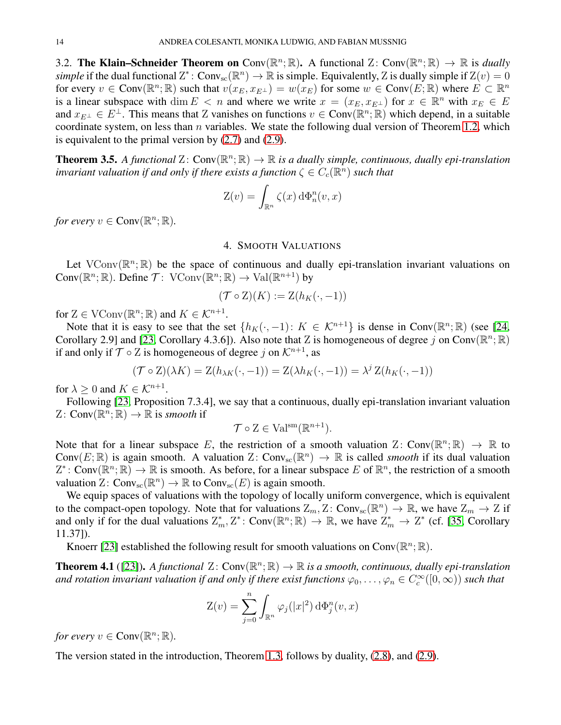3.2. **The Klain–Schneider Theorem on** Conv $(\mathbb{R}^n; \mathbb{R})$ . A functional Z: Conv $(\mathbb{R}^n; \mathbb{R}) \to \mathbb{R}$  is *dually simple* if the dual functional  $Z^*$ : Conv<sub>sc</sub> $(\mathbb{R}^n) \to \mathbb{R}$  is simple. Equivalently, Z is dually simple if  $Z(v) = 0$ for every  $v \in Conv(\mathbb{R}^n; \mathbb{R})$  such that  $v(x_E, x_{E^{\perp}}) = w(x_E)$  for some  $w \in Conv(E; \mathbb{R})$  where  $E \subset \mathbb{R}^n$ is a linear subspace with dim  $E < n$  and where we write  $x = (x_E, x_{E^{\perp}})$  for  $x \in \mathbb{R}^n$  with  $x_E \in E$ and  $x_{E^{\perp}} \in E^{\perp}$ . This means that Z vanishes on functions  $v \in Conv(\mathbb{R}^n; \mathbb{R})$  which depend, in a suitable coordinate system, on less than  $n$  variables. We state the following dual version of Theorem [1.2,](#page-1-0) which is equivalent to the primal version by [\(2.7\)](#page-6-2) and [\(2.9\)](#page-6-3).

**Theorem 3.5.** A functional  $Z: Conv(\mathbb{R}^n; \mathbb{R}) \to \mathbb{R}$  is a dually simple, continuous, dually epi-translation *invariant valuation if and only if there exists a function*  $\zeta \in C_c(\mathbb{R}^n)$  *such that* 

$$
Z(v) = \int_{\mathbb{R}^n} \zeta(x) d\Phi_n^n(v, x)
$$

<span id="page-13-0"></span>*for every*  $v \in Conv(\mathbb{R}^n; \mathbb{R})$ .

### 4. SMOOTH VALUATIONS

Let VConv $(\mathbb{R}^n; \mathbb{R})$  be the space of continuous and dually epi-translation invariant valuations on Conv $(\mathbb{R}^n; \mathbb{R})$ . Define  $\mathcal{T}$ : VConv $(\mathbb{R}^n; \mathbb{R}) \to \text{Val}(\mathbb{R}^{n+1})$  by

$$
(\mathcal{T} \circ \mathcal{Z})(K) := \mathcal{Z}(h_K(\cdot, -1))
$$

for  $Z \in \mathrm{VConv}(\mathbb{R}^n; \mathbb{R})$  and  $K \in \mathcal{K}^{n+1}$ .

Note that it is easy to see that the set  $\{h_K(\cdot, -1): K \in \mathcal{K}^{n+1}\}\$  is dense in Conv $(\mathbb{R}^n; \mathbb{R})$  (see [\[24,](#page-23-22) Corollary 2.9] and [\[23,](#page-23-29) Corollary 4.3.6]). Also note that Z is homogeneous of degree j on Conv( $\mathbb{R}^n$ ;  $\mathbb{R}$ ) if and only if  $\mathcal{T} \circ \mathcal{Z}$  is homogeneous of degree j on  $\mathcal{K}^{n+1}$ , as

$$
(\mathcal{T} \circ \mathbf{Z})(\lambda K) = \mathbf{Z}(h_{\lambda K}(\cdot, -1)) = \mathbf{Z}(\lambda h_K(\cdot, -1)) = \lambda^{j} \mathbf{Z}(h_K(\cdot, -1))
$$

for  $\lambda \geq 0$  and  $K \in \mathcal{K}^{n+1}$ .

Following [\[23,](#page-23-29) Proposition 7.3.4], we say that a continuous, dually epi-translation invariant valuation Z:  $Conv(\mathbb{R}^n; \mathbb{R}) \to \mathbb{R}$  is *smooth* if

$$
\mathcal{T} \circ \mathcal{Z} \in \mathrm{Val}^{\mathrm{sm}}(\mathbb{R}^{n+1}).
$$

Note that for a linear subspace E, the restriction of a smooth valuation Z: Conv $(\mathbb{R}^n; \mathbb{R}) \to \mathbb{R}$  to Conv $(E; \mathbb{R})$  is again smooth. A valuation  $Z: Conv_{sc}(\mathbb{R}^n) \to \mathbb{R}$  is called *smooth* if its dual valuation  $Z^*$ : Conv $(\mathbb{R}^n; \mathbb{R}) \to \mathbb{R}$  is smooth. As before, for a linear subspace E of  $\mathbb{R}^n$ , the restriction of a smooth valuation  $Z: Conv_{sc}(\mathbb{R}^n) \to \mathbb{R}$  to  $Conv_{sc}(E)$  is again smooth.

We equip spaces of valuations with the topology of locally uniform convergence, which is equivalent to the compact-open topology. Note that for valuations  $Z_m$ ,  $Z$ : Conv<sub>sc</sub>( $\mathbb{R}^n$ )  $\to \mathbb{R}$ , we have  $Z_m \to Z$  if and only if for the dual valuations  $\mathbb{Z}_m^*, \mathbb{Z}^* \colon \text{Conv}(\mathbb{R}^n; \mathbb{R}) \to \mathbb{R}$ , we have  $\mathbb{Z}_m^* \to \mathbb{Z}^*$  (cf. [\[35,](#page-23-32) Corollary 11.37]).

Knoerr [\[23\]](#page-23-29) established the following result for smooth valuations on Conv $(\mathbb{R}^n; \mathbb{R})$ .

**Theorem 4.1** ([\[23\]](#page-23-29)). A functional  $Z: Conv(\mathbb{R}^n; \mathbb{R}) \to \mathbb{R}$  is a smooth, continuous, dually epi-translation and rotation invariant valuation if and only if there exist functions  $\varphi_0,\ldots,\varphi_n\in C_c^\infty([0,\infty))$  such that

$$
Z(v) = \sum_{j=0}^{n} \int_{\mathbb{R}^n} \varphi_j(|x|^2) d\Phi_j^n(v, x)
$$

*for every*  $v \in Conv(\mathbb{R}^n; \mathbb{R})$ .

The version stated in the introduction, Theorem [1.3,](#page-2-1) follows by duality, [\(2.8\)](#page-6-5), and [\(2.9\)](#page-6-3).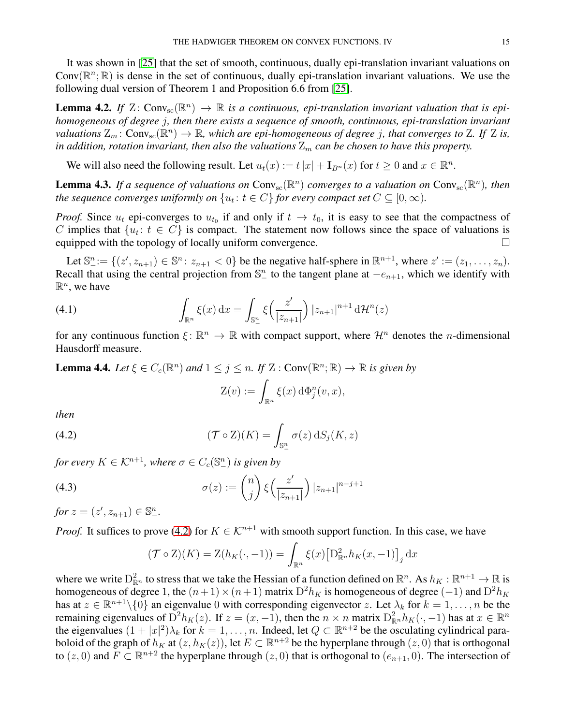It was shown in [\[25\]](#page-23-23) that the set of smooth, continuous, dually epi-translation invariant valuations on Conv $(\mathbb{R}^n;\mathbb{R})$  is dense in the set of continuous, dually epi-translation invariant valuations. We use the following dual version of Theorem 1 and Proposition 6.6 from [\[25\]](#page-23-23).

<span id="page-14-4"></span>**Lemma 4.2.** If  $Z: Conv_{sc}(\mathbb{R}^n) \to \mathbb{R}$  *is a continuous, epi-translation invariant valuation that is epihomogeneous of degree* j*, then there exists a sequence of smooth, continuous, epi-translation invariant* valuations  $Z_m$ :  $Conv_{sc}(\mathbb{R}^n) \to \mathbb{R}$ , which are epi-homogeneous of degree j, that converges to Z. If Z is, *in addition, rotation invariant, then also the valuations*  $Z_m$  *can be chosen to have this property.* 

We will also need the following result. Let  $u_t(x) := t |x| + \mathbf{I}_{B^n}(x)$  for  $t \ge 0$  and  $x \in \mathbb{R}^n$ .

<span id="page-14-5"></span>**Lemma 4.3.** If a sequence of valuations on  $Conv_{sc}(\mathbb{R}^n)$  converges to a valuation on  $Conv_{sc}(\mathbb{R}^n)$ , then *the sequence converges uniformly on*  $\{u_t: t \in C\}$  *for every compact set*  $C \subseteq [0, \infty)$ *.* 

*Proof.* Since  $u_t$  epi-converges to  $u_{t_0}$  if and only if  $t \to t_0$ , it is easy to see that the compactness of C implies that  $\{u_t: t \in C\}$  is compact. The statement now follows since the space of valuations is equipped with the topology of locally uniform convergence.  $\Box$ 

Let  $\mathbb{S}^n := \{(z', z_{n+1}) \in \mathbb{S}^n : z_{n+1} < 0\}$  be the negative half-sphere in  $\mathbb{R}^{n+1}$ , where  $z' := (z_1, \ldots, z_n)$ . Recall that using the central projection from  $\mathbb{S}^n$  to the tangent plane at  $-e_{n+1}$ , which we identify with  $\mathbb{R}^n$ , we have

(4.1) 
$$
\int_{\mathbb{R}^n} \xi(x) dx = \int_{\mathbb{S}^n_-} \xi\left(\frac{z'}{|z_{n+1}|}\right) |z_{n+1}|^{n+1} d\mathcal{H}^n(z)
$$

for any continuous function  $\xi \colon \mathbb{R}^n \to \mathbb{R}$  with compact support, where  $\mathcal{H}^n$  denotes the *n*-dimensional Hausdorff measure.

<span id="page-14-2"></span>**Lemma 4.4.** *Let*  $\xi \in C_c(\mathbb{R}^n)$  *and*  $1 \leq j \leq n$ . *If*  $Z$  : Conv $(\mathbb{R}^n; \mathbb{R}) \to \mathbb{R}$  *is given by* 

<span id="page-14-1"></span><span id="page-14-0"></span>
$$
Z(v) := \int_{\mathbb{R}^n} \xi(x) \, d\Phi_j^n(v, x),
$$

*then*

(4.2) 
$$
(\mathcal{T} \circ \mathcal{Z})(K) = \int_{\mathbb{S}^n_-} \sigma(z) \, dS_j(K, z)
$$

*for every*  $K \in \mathcal{K}^{n+1}$ , where  $\sigma \in C_c(\mathbb{S}^n)$  *is given by* 

(4.3) 
$$
\sigma(z) := \binom{n}{j} \xi \left( \frac{z'}{|z_{n+1}|} \right) |z_{n+1}|^{n-j+1}
$$

*for*  $z = (z', z_{n+1}) \in \mathbb{S}^n_-.$ 

*Proof.* It suffices to prove [\(4.2\)](#page-14-0) for  $K \in \mathcal{K}^{n+1}$  with smooth support function. In this case, we have

<span id="page-14-3"></span>
$$
(\mathcal{T} \circ \mathcal{Z})(K) = \mathcal{Z}(h_K(\cdot, -1)) = \int_{\mathbb{R}^n} \xi(x) \left[ \mathcal{D}_{\mathbb{R}^n}^2 h_K(x, -1) \right]_j dx
$$

where we write  $D_{\mathbb{R}^n}^2$  to stress that we take the Hessian of a function defined on  $\mathbb{R}^n$ . As  $h_K : \mathbb{R}^{n+1} \to \mathbb{R}$  is homogeneous of degree 1, the  $(n+1) \times (n+1)$  matrix  $D^2 h_K$  is homogeneous of degree  $(-1)$  and  $D^2 h_K$ has at  $z \in \mathbb{R}^{n+1} \setminus \{0\}$  an eigenvalue 0 with corresponding eigenvector z. Let  $\lambda_k$  for  $k = 1, \ldots, n$  be the remaining eigenvalues of  $\bar{D}^2 h_K(z)$ . If  $z = (x, -1)$ , then the  $n \times n$  matrix  $D_{\mathbb{R}^n}^2 h_K(\cdot, -1)$  has at  $x \in \mathbb{R}^n$ the eigenvalues  $(1+|x|^2)\lambda_k$  for  $k=1,\ldots,n$ . Indeed, let  $Q \subset \mathbb{R}^{n+2}$  be the osculating cylindrical paraboloid of the graph of  $h_K$  at  $(z, h_K(z))$ , let  $E \subset \mathbb{R}^{n+2}$  be the hyperplane through  $(z, 0)$  that is orthogonal to  $(z, 0)$  and  $\overline{F} \subset \mathbb{R}^{n+2}$  the hyperplane through  $(z, 0)$  that is orthogonal to  $(e_{n+1}, 0)$ . The intersection of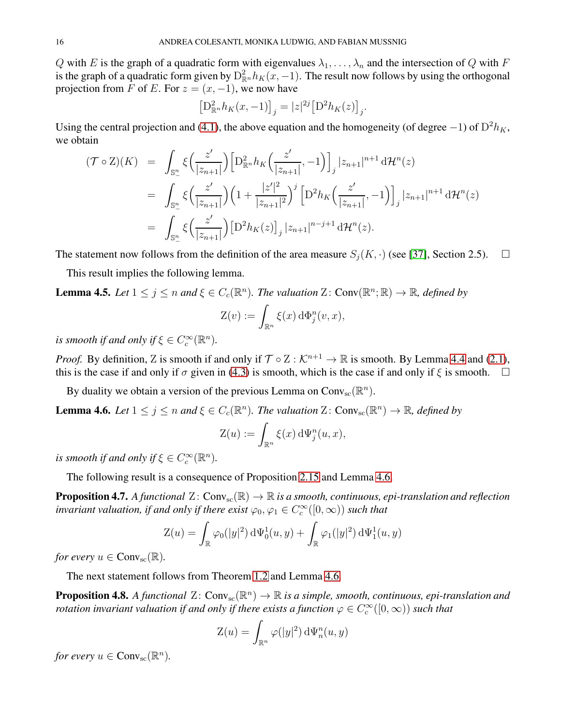Q with E is the graph of a quadratic form with eigenvalues  $\lambda_1, \ldots, \lambda_n$  and the intersection of Q with F is the graph of a quadratic form given by  $D_{\mathbb{R}^n}^2 h_K(x, -1)$ . The result now follows by using the orthogonal projection from F of E. For  $z = (x, -1)$ , we now have

$$
\left[\mathcal{D}_{\mathbb{R}^n}^2 h_K(x, -1)\right]_j = |z|^{2j} \left[\mathcal{D}^2 h_K(z)\right]_j.
$$

Using the central projection and [\(4.1\)](#page-14-1), the above equation and the homogeneity (of degree  $-1$ ) of  $D^2 h_K$ , we obtain

$$
(\mathcal{T} \circ \mathbf{Z})(K) = \int_{\mathbb{S}_{-}^{n}} \xi\left(\frac{z'}{|z_{n+1}|}\right) \left[D_{\mathbb{R}^{n}}^{2} h_{K}\left(\frac{z'}{|z_{n+1}|}, -1\right)\right]_{j} |z_{n+1}|^{n+1} d\mathcal{H}^{n}(z)
$$
  
\n
$$
= \int_{\mathbb{S}_{-}^{n}} \xi\left(\frac{z'}{|z_{n+1}|}\right) \left(1 + \frac{|z'|^{2}}{|z_{n+1}|^{2}}\right)^{j} \left[D^{2} h_{K}\left(\frac{z'}{|z_{n+1}|}, -1\right)\right]_{j} |z_{n+1}|^{n+1} d\mathcal{H}^{n}(z)
$$
  
\n
$$
= \int_{\mathbb{S}_{-}^{n}} \xi\left(\frac{z'}{|z_{n+1}|}\right) \left[D^{2} h_{K}(z)\right]_{j} |z_{n+1}|^{n-j+1} d\mathcal{H}^{n}(z).
$$

The statement now follows from the definition of the area measure  $S_i(K, \cdot)$  (see [\[37\]](#page-23-2), Section 2.5).  $\square$ 

This result implies the following lemma.

**Lemma 4.5.** Let  $1 \leq j \leq n$  and  $\xi \in C_c(\mathbb{R}^n)$ . The valuation  $\mathbb{Z}$ : Conv $(\mathbb{R}^n; \mathbb{R}) \to \mathbb{R}$ , defined by

$$
Z(v) := \int_{\mathbb{R}^n} \xi(x) \, d\Phi_j^n(v, x),
$$

*is smooth if and only if*  $\xi \in C_c^{\infty}(\mathbb{R}^n)$ *.* 

*Proof.* By definition, Z is smooth if and only if  $\mathcal{T} \circ Z : \mathcal{K}^{n+1} \to \mathbb{R}$  is smooth. By Lemma [4.4](#page-14-2) and [\(2.1\)](#page-3-1), this is the case if and only if  $\sigma$  given in [\(4.3\)](#page-14-3) is smooth, which is the case if and only if  $\xi$  is smooth.  $\Box$ 

By duality we obtain a version of the previous Lemma on  $Conv_{sc}(\mathbb{R}^n)$ .

<span id="page-15-0"></span>**Lemma 4.6.** Let  $1 \leq j \leq n$  and  $\xi \in C_c(\mathbb{R}^n)$ . The valuation Z: Conv<sub>sc</sub> $(\mathbb{R}^n) \to \mathbb{R}$ , defined by

$$
Z(u) := \int_{\mathbb{R}^n} \xi(x) \, d\Psi_j^n(u, x),
$$

*is smooth if and only if*  $\xi \in C_c^{\infty}(\mathbb{R}^n)$ *.* 

The following result is a consequence of Proposition [2.15](#page-9-0) and Lemma [4.6.](#page-15-0)

<span id="page-15-1"></span>**Proposition 4.7.** *A functional*  $Z: Conv_{sc}(\mathbb{R}) \to \mathbb{R}$  *is a smooth, continuous, epi-translation and reflection invariant valuation, if and only if there exist*  $\varphi_0, \varphi_1 \in C_c^{\infty}([0, \infty))$  *such that* 

$$
Z(u) = \int_{\mathbb{R}} \varphi_0(|y|^2) d\Psi_0^1(u, y) + \int_{\mathbb{R}} \varphi_1(|y|^2) d\Psi_1^1(u, y)
$$

*for every*  $u \in Conv_{\rm sc}(\mathbb{R})$ .

The next statement follows from Theorem [1.2](#page-1-0) and Lemma [4.6.](#page-15-0)

<span id="page-15-2"></span>**Proposition 4.8.** A functional  $Z: Conv_{sc}(\mathbb{R}^n) \to \mathbb{R}$  is a simple, smooth, continuous, epi-translation and *rotation invariant valuation if and only if there exists a function*  $\varphi \in C_c^\infty([0,\infty))$  *such that* 

$$
Z(u) = \int_{\mathbb{R}^n} \varphi(|y|^2) \, d\Psi_n^n(u, y)
$$

*for every*  $u \in Conv_{\rm sc}(\mathbb{R}^n)$ .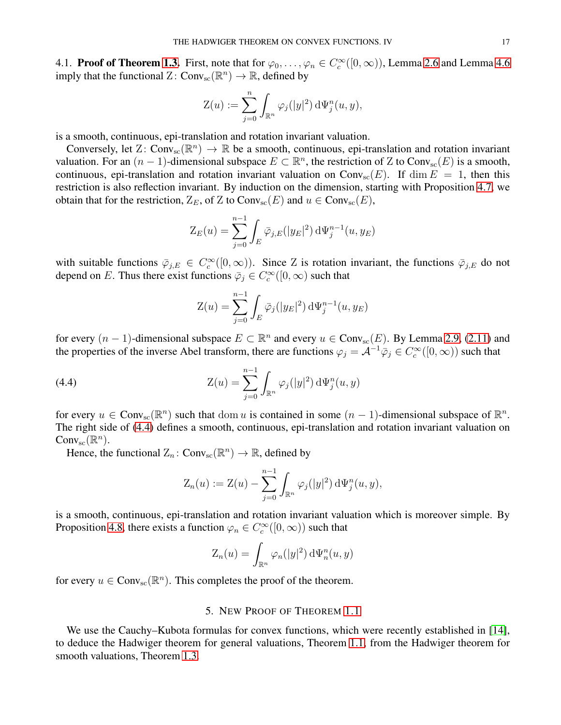4.1. **Proof of Theorem [1.3.](#page-2-1)** First, note that for  $\varphi_0, \ldots, \varphi_n \in C_c^{\infty}([0, \infty))$ , Lemma [2.6](#page-6-6) and Lemma [4.6](#page-15-0) imply that the functional  $Z: Conv_{sc}(\mathbb{R}^n) \to \mathbb{R}$ , defined by

$$
Z(u) := \sum_{j=0}^n \int_{\mathbb{R}^n} \varphi_j(|y|^2) d\Psi_j^n(u, y),
$$

is a smooth, continuous, epi-translation and rotation invariant valuation.

Conversely, let  $Z: Conv_{sc}(\mathbb{R}^n) \to \mathbb{R}$  be a smooth, continuous, epi-translation and rotation invariant valuation. For an  $(n-1)$ -dimensional subspace  $E \subset \mathbb{R}^n$ , the restriction of Z to Conv<sub>sc</sub> $(E)$  is a smooth, continuous, epi-translation and rotation invariant valuation on Conv<sub>sc</sub> $(E)$ . If dim  $E = 1$ , then this restriction is also reflection invariant. By induction on the dimension, starting with Proposition [4.7,](#page-15-1) we obtain that for the restriction,  $Z_E$ , of Z to Conv<sub>sc</sub> $(E)$  and  $u \in Conv_{sc}(E)$ ,

$$
Z_E(u) = \sum_{j=0}^{n-1} \int_E \bar{\varphi}_{j,E}(|y_E|^2) d\Psi_j^{n-1}(u, y_E)
$$

with suitable functions  $\overline{\varphi}_{j,E} \in C_c^{\infty}([0,\infty))$ . Since Z is rotation invariant, the functions  $\overline{\varphi}_{j,E}$  do not depend on E. Thus there exist functions  $\bar{\varphi}_j \in C_c^{\infty}([0,\infty))$  such that

<span id="page-16-1"></span>
$$
Z(u) = \sum_{j=0}^{n-1} \int_E \bar{\varphi}_j(|y_E|^2) d\Psi_j^{n-1}(u, y_E)
$$

for every  $(n-1)$ -dimensional subspace  $E \subset \mathbb{R}^n$  and every  $u \in Conv_{\rm sc}(E)$ . By Lemma [2.9,](#page-7-1) [\(2.11\)](#page-8-5) and the properties of the inverse Abel transform, there are functions  $\varphi_j = A^{-1} \overline{\varphi}_j \in C_c^{\infty}([0,\infty))$  such that

(4.4) 
$$
Z(u) = \sum_{j=0}^{n-1} \int_{\mathbb{R}^n} \varphi_j(|y|^2) d\Psi_j^n(u, y)
$$

for every  $u \in Conv_{sc}(\mathbb{R}^n)$  such that dom u is contained in some  $(n-1)$ -dimensional subspace of  $\mathbb{R}^n$ . The right side of [\(4.4\)](#page-16-1) defines a smooth, continuous, epi-translation and rotation invariant valuation on  $Conv_{\text{sc}}(\mathbb{R}^n)$ .

Hence, the functional  $Z_n$ :  $Conv_{sc}(\mathbb{R}^n) \to \mathbb{R}$ , defined by

$$
Z_n(u) := \mathcal{Z}(u) - \sum_{j=0}^{n-1} \int_{\mathbb{R}^n} \varphi_j(|y|^2) d\Psi_j^n(u, y),
$$

is a smooth, continuous, epi-translation and rotation invariant valuation which is moreover simple. By Proposition [4.8,](#page-15-2) there exists a function  $\varphi_n \in C_c^{\infty}([0,\infty))$  such that

$$
Z_n(u) = \int_{\mathbb{R}^n} \varphi_n(|y|^2) d\Psi_n^n(u, y)
$$

<span id="page-16-0"></span>for every  $u \in Conv_{\text{sc}}(\mathbb{R}^n)$ . This completes the proof of the theorem.

### 5. NEW PROOF OF THEOREM [1.1](#page-0-0)

We use the Cauchy–Kubota formulas for convex functions, which were recently established in [\[14\]](#page-23-25), to deduce the Hadwiger theorem for general valuations, Theorem [1.1,](#page-0-0) from the Hadwiger theorem for smooth valuations, Theorem [1.3.](#page-2-1)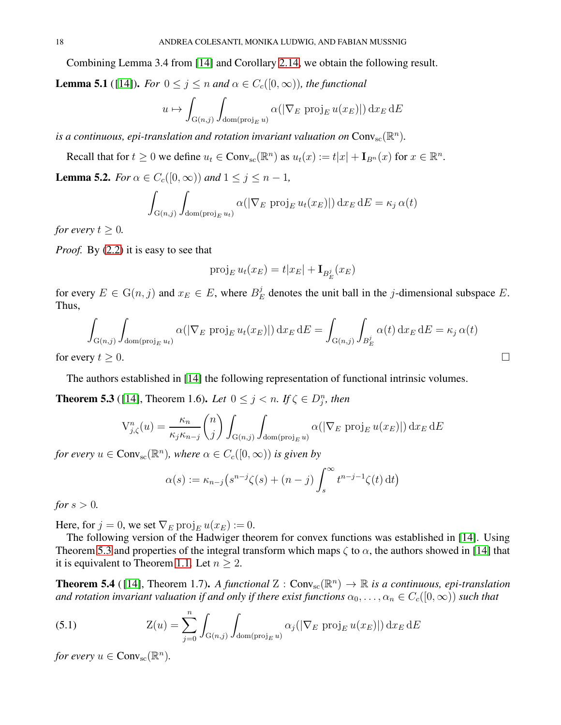Combining Lemma 3.4 from [\[14\]](#page-23-25) and Corollary [2.14,](#page-8-2) we obtain the following result.

<span id="page-17-2"></span>**Lemma 5.1** ([\[14\]](#page-23-25)). *For*  $0 \le j \le n$  *and*  $\alpha \in C_c([0,\infty))$ *, the functional* 

$$
u \mapsto \int_{G(n,j)} \int_{\text{dom}(\text{proj}_E u)} \alpha(|\nabla_E \text{ proj}_E u(x_E)|) dx_E dE
$$

*is a continuous, epi-translation and rotation invariant valuation on*  $Conv_{\text{sc}}(\mathbb{R}^n)$ .

Recall that for  $t \ge 0$  we define  $u_t \in Conv_{sc}(\mathbb{R}^n)$  as  $u_t(x) := t|x| + \mathbf{I}_{B^n}(x)$  for  $x \in \mathbb{R}^n$ .

<span id="page-17-4"></span>**Lemma 5.2.** *For*  $\alpha \in C_c([0,\infty))$  *and*  $1 \leq j \leq n-1$ *,* 

$$
\int_{G(n,j)} \int_{\text{dom}(\text{proj}_E u_t)} \alpha(|\nabla_E \text{ proj}_E u_t(x_E)|) dx_E dE = \kappa_j \alpha(t)
$$

*for every*  $t > 0$ *.* 

*Proof.* By [\(2.2\)](#page-4-0) it is easy to see that

$$
\operatorname{proj}_E u_t(x_E) = t|x_E| + \mathbf{I}_{B_E^j}(x_E)
$$

for every  $E \in G(n, j)$  and  $x_E \in E$ , where  $B_E^j$  $E_E^j$  denotes the unit ball in the *j*-dimensional subspace E. Thus,

$$
\int_{G(n,j)} \int_{\text{dom}(\text{proj}_E u_t)} \alpha(|\nabla_E \text{ proj}_E u_t(x_E)|) dx_E dE = \int_{G(n,j)} \int_{B_E^j} \alpha(t) dx_E dE = \kappa_j \alpha(t)
$$
\nfor every  $t \geq 0$ .

The authors established in [\[14\]](#page-23-25) the following representation of functional intrinsic volumes.

<span id="page-17-0"></span>**Theorem 5.3** ([\[14\]](#page-23-25), Theorem 1.6). Let  $0 \le j \le n$ . If  $\zeta \in D_j^n$ , then

$$
V_{j,\zeta}^n(u) = \frac{\kappa_n}{\kappa_j \kappa_{n-j}} \binom{n}{j} \int_{G(n,j)} \int_{\text{dom}(\text{proj}_E u)} \alpha(|\nabla_E \text{ proj}_E u(x_E)|) dx_E dE
$$

*for every*  $u \in Conv_{\rm sc}(\mathbb{R}^n)$ *, where*  $\alpha \in C_c([0,\infty))$  *is given by* 

$$
\alpha(s) := \kappa_{n-j} \left( s^{n-j} \zeta(s) + (n-j) \int_s^\infty t^{n-j-1} \zeta(t) dt \right)
$$

*for*  $s > 0$ *.* 

Here, for  $j = 0$ , we set  $\nabla_E \text{proj}_E u(x_E) := 0$ .

The following version of the Hadwiger theorem for convex functions was established in [\[14\]](#page-23-25). Using Theorem [5.3](#page-17-0) and properties of the integral transform which maps  $\zeta$  to  $\alpha$ , the authors showed in [\[14\]](#page-23-25) that it is equivalent to Theorem [1.1.](#page-0-0) Let  $n \geq 2$ .

<span id="page-17-1"></span>**Theorem 5.4** ([14], Theorem 1.7). *A functional*  $Z : Conv_{sc}(\mathbb{R}^n) \to \mathbb{R}$  *is a continuous, epi-translation and rotation invariant valuation if and only if there exist functions*  $\alpha_0, \ldots, \alpha_n \in C_c([0,\infty))$  *such that* 

<span id="page-17-3"></span>(5.1) 
$$
Z(u) = \sum_{j=0}^{n} \int_{G(n,j)} \int_{\text{dom}(\text{proj}_E u)} \alpha_j(|\nabla_E \text{ proj}_E u(x_E)|) dx_E dE
$$

*for every*  $u \in Conv_{\rm sc}(\mathbb{R}^n)$ .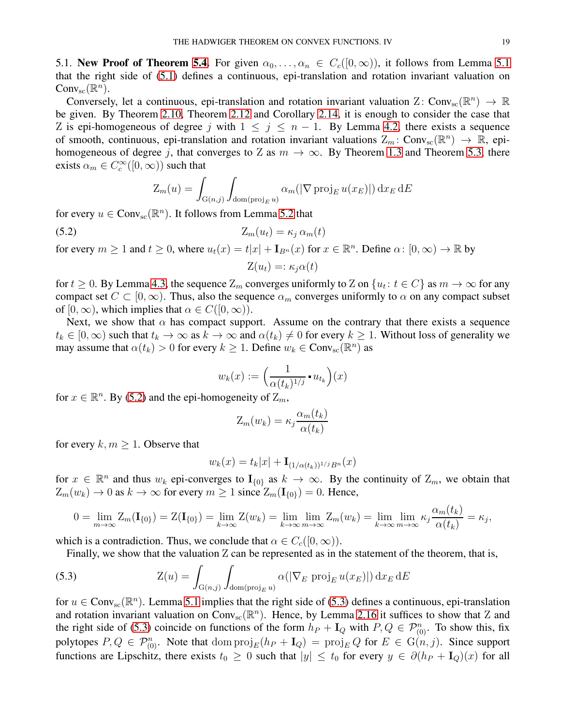5.1. New Proof of Theorem [5.4.](#page-17-1) For given  $\alpha_0, \ldots, \alpha_n \in C_c([0,\infty))$ , it follows from Lemma [5.1](#page-17-2) that the right side of [\(5.1\)](#page-17-3) defines a continuous, epi-translation and rotation invariant valuation on  $Conv_{\text{sc}}(\mathbb{R}^n)$ .

Conversely, let a continuous, epi-translation and rotation invariant valuation Z: Conv<sub>sc</sub>( $\mathbb{R}^n$ )  $\rightarrow \mathbb{R}$ be given. By Theorem [2.10,](#page-8-0) Theorem [2.12](#page-8-1) and Corollary [2.14,](#page-8-2) it is enough to consider the case that Z is epi-homogeneous of degree j with  $1 \leq j \leq n-1$ . By Lemma [4.2,](#page-14-4) there exists a sequence of smooth, continuous, epi-translation and rotation invariant valuations  $Z_m$ : Conv<sub>sc</sub> $(\mathbb{R}^n) \to \mathbb{R}$ , epihomogeneous of degree j, that converges to Z as  $m \to \infty$ . By Theorem [1.3](#page-2-1) and Theorem [5.3,](#page-17-0) there exists  $\alpha_m \in C_c^{\infty}([0,\infty))$  such that

<span id="page-18-0"></span>
$$
Z_m(u) = \int_{G(n,j)} \int_{\text{dom}(\text{proj}_E u)} \alpha_m(|\nabla \text{proj}_E u(x_E)|) dx_E dE
$$

for every  $u \in Conv_{\text{sc}}(\mathbb{R}^n)$ . It follows from Lemma [5.2](#page-17-4) that

$$
(5.2) \t\t Z_m(u_t) = \kappa_j \, \alpha_m(t)
$$

for every  $m \ge 1$  and  $t \ge 0$ , where  $u_t(x) = t|x| + \mathbf{I}_{B^n}(x)$  for  $x \in \mathbb{R}^n$ . Define  $\alpha: [0, \infty) \to \mathbb{R}$  by  $Z(u_t) =: \kappa_i \alpha(t)$ 

for  $t \ge 0$ . By Lemma [4.3,](#page-14-5) the sequence  $Z_m$  converges uniformly to  $Z$  on  $\{u_t : t \in C\}$  as  $m \to \infty$  for any compact set  $C \subset [0,\infty)$ . Thus, also the sequence  $\alpha_m$  converges uniformly to  $\alpha$  on any compact subset of  $[0, \infty)$ , which implies that  $\alpha \in C([0, \infty))$ .

Next, we show that  $\alpha$  has compact support. Assume on the contrary that there exists a sequence  $t_k \in [0,\infty)$  such that  $t_k \to \infty$  as  $k \to \infty$  and  $\alpha(t_k) \neq 0$  for every  $k \geq 1$ . Without loss of generality we may assume that  $\alpha(t_k) > 0$  for every  $k \geq 1$ . Define  $w_k \in Conv_{sc}(\mathbb{R}^n)$  as

$$
w_k(x) := \left(\frac{1}{\alpha(t_k)^{1/j}} \cdot u_{t_k}\right)(x)
$$

for  $x \in \mathbb{R}^n$ . By [\(5.2\)](#page-18-0) and the epi-homogeneity of  $Z_m$ ,

$$
Z_m(w_k) = \kappa_j \frac{\alpha_m(t_k)}{\alpha(t_k)}
$$

for every  $k, m \geq 1$ . Observe that

$$
w_k(x) = t_k |x| + {\mathbf{I}}_{(1/\alpha(t_k))^{1/j} B^n}(x)
$$

for  $x \in \mathbb{R}^n$  and thus  $w_k$  epi-converges to  $I_{\{0\}}$  as  $k \to \infty$ . By the continuity of  $Z_m$ , we obtain that  $Z_m(w_k) \to 0$  as  $k \to \infty$  for every  $m \ge 1$  since  $Z_m(\mathbf{I}_{\{0\}}) = 0$ . Hence,

$$
0 = \lim_{m \to \infty} Z_m(\mathbf{I}_{\{0\}}) = Z(\mathbf{I}_{\{0\}}) = \lim_{k \to \infty} Z(w_k) = \lim_{k \to \infty} \lim_{m \to \infty} Z_m(w_k) = \lim_{k \to \infty} \lim_{m \to \infty} \kappa_j \frac{\alpha_m(t_k)}{\alpha(t_k)} = \kappa_j,
$$

which is a contradiction. Thus, we conclude that  $\alpha \in C_c([0,\infty))$ .

<span id="page-18-1"></span>Finally, we show that the valuation Z can be represented as in the statement of the theorem, that is,

(5.3) 
$$
Z(u) = \int_{G(n,j)} \int_{\text{dom}(\text{proj}_E u)} \alpha(|\nabla_E \text{ proj}_E u(x_E)|) dx_E dE
$$

for  $u \in Conv_{sc}(\mathbb{R}^n)$ . Lemma [5.1](#page-17-2) implies that the right side of [\(5.3\)](#page-18-1) defines a continuous, epi-translation and rotation invariant valuation on Conv<sub>sc</sub>( $\mathbb{R}^n$ ). Hence, by Lemma [2.16](#page-9-1) it suffices to show that Z and the right side of [\(5.3\)](#page-18-1) coincide on functions of the form  $h_P + I_Q$  with  $P, Q \in \mathcal{P}_{(0)}^n$ . To show this, fix polytopes  $P, Q \in \mathcal{P}_{(0)}^n$ . Note that  $\text{dom } \text{proj}_E(h_P + I_Q) = \text{proj}_E Q$  for  $E \in G(n, j)$ . Since support functions are Lipschitz, there exists  $t_0 \geq 0$  such that  $|y| \leq t_0$  for every  $y \in \partial (h_P + I_Q)(x)$  for all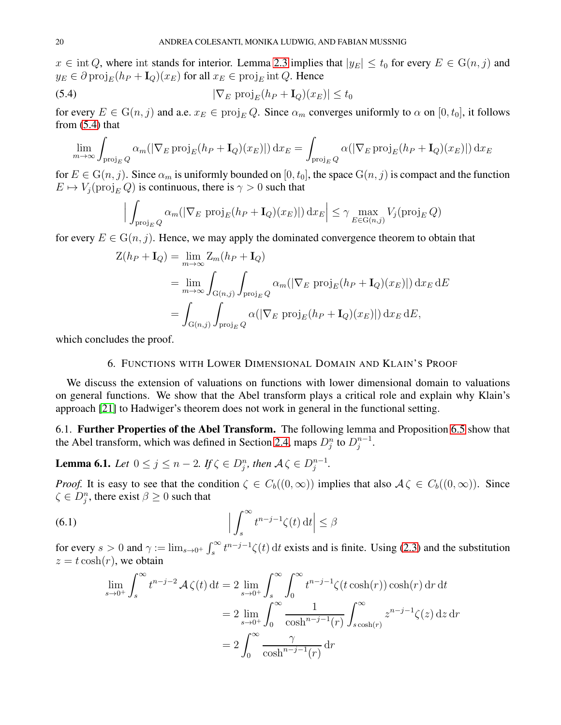$x \in \text{int } Q$ , where int stands for interior. Lemma [2.3](#page-4-1) implies that  $|y_E| \le t_0$  for every  $E \in G(n, j)$  and  $y_E \in \partial \text{proj}_E(h_P + I_Q)(x_E)$  for all  $x_E \in \text{proj}_E$  int Q. Hence

(5.4) 
$$
|\nabla_E \operatorname{proj}_E(h_P + \mathbf{I}_Q)(x_E)| \le t_0
$$

for every  $E \in G(n, j)$  and a.e.  $x_E \in \text{proj}_E Q$ . Since  $\alpha_m$  converges uniformly to  $\alpha$  on  $[0, t_0]$ , it follows from  $(5.4)$  that

$$
\lim_{m \to \infty} \int_{\text{proj}_E Q} \alpha_m(|\nabla_E \operatorname{proj}_E(h_P + \mathbf{I}_Q)(x_E)|) dx_E = \int_{\text{proj}_E Q} \alpha(|\nabla_E \operatorname{proj}_E(h_P + \mathbf{I}_Q)(x_E)|) dx_E
$$

for  $E \in G(n, j)$ . Since  $\alpha_m$  is uniformly bounded on  $[0, t_0]$ , the space  $G(n, j)$  is compact and the function  $E \mapsto V_i(\text{proj}_E Q)$  is continuous, there is  $\gamma > 0$  such that

<span id="page-19-1"></span>
$$
\Big| \int_{\text{proj}_E Q} \alpha_m(|\nabla_E \text{ proj}_E(h_P + \mathbf{I}_Q)(x_E)|) \, dx_E \Big| \le \gamma \max_{E \in G(n,j)} V_j(\text{proj}_E Q)
$$

for every  $E \in G(n, j)$ . Hence, we may apply the dominated convergence theorem to obtain that

$$
Z(h_P + I_Q) = \lim_{m \to \infty} Z_m(h_P + I_Q)
$$
  
= 
$$
\lim_{m \to \infty} \int_{G(n,j)} \int_{\text{proj}_E Q} \alpha_m(|\nabla_E \text{ proj}_E(h_P + I_Q)(x_E)|) dx_E dE
$$
  
= 
$$
\int_{G(n,j)} \int_{\text{proj}_E Q} \alpha(|\nabla_E \text{ proj}_E(h_P + I_Q)(x_E)|) dx_E dE,
$$

<span id="page-19-0"></span>which concludes the proof.

## 6. FUNCTIONS WITH LOWER DIMENSIONAL DOMAIN AND KLAIN'S PROOF

We discuss the extension of valuations on functions with lower dimensional domain to valuations on general functions. We show that the Abel transform plays a critical role and explain why Klain's approach [\[21\]](#page-23-27) to Hadwiger's theorem does not work in general in the functional setting.

6.1. Further Properties of the Abel Transform. The following lemma and Proposition [6.5](#page-21-0) show that the Abel transform, which was defined in Section [2.4,](#page-5-2) maps  $D_j^n$  to  $D_j^{n-1}$  $\frac{n-1}{j}$ .

<span id="page-19-3"></span>**Lemma 6.1.** Let 
$$
0 \le j \le n-2
$$
. If  $\zeta \in D_j^n$ , then  $A\zeta \in D_j^{n-1}$ .

*Proof.* It is easy to see that the condition  $\zeta \in C_b((0,\infty))$  implies that also  $\mathcal{A}\zeta \in C_b((0,\infty))$ . Since  $\zeta \in D_j^n$ , there exist  $\beta \geq 0$  such that

(6.1) 
$$
\left| \int_s^{\infty} t^{n-j-1} \zeta(t) dt \right| \leq \beta
$$

for every  $s > 0$  and  $\gamma := \lim_{s \to 0^+} \int_s^{\infty} t^{n-j-1} \zeta(t) dt$  exists and is finite. Using [\(2.3\)](#page-5-3) and the substitution  $z = t \cosh(r)$ , we obtain

<span id="page-19-2"></span>
$$
\lim_{s \to 0^+} \int_s^\infty t^{n-j-2} \mathcal{A} \zeta(t) dt = 2 \lim_{s \to 0^+} \int_s^\infty \int_0^\infty t^{n-j-1} \zeta(t \cosh(r)) \cosh(r) dr dt
$$

$$
= 2 \lim_{s \to 0^+} \int_0^\infty \frac{1}{\cosh^{n-j-1}(r)} \int_{s \cosh(r)}^\infty z^{n-j-1} \zeta(z) dz dr
$$

$$
= 2 \int_0^\infty \frac{\gamma}{\cosh^{n-j-1}(r)} dr
$$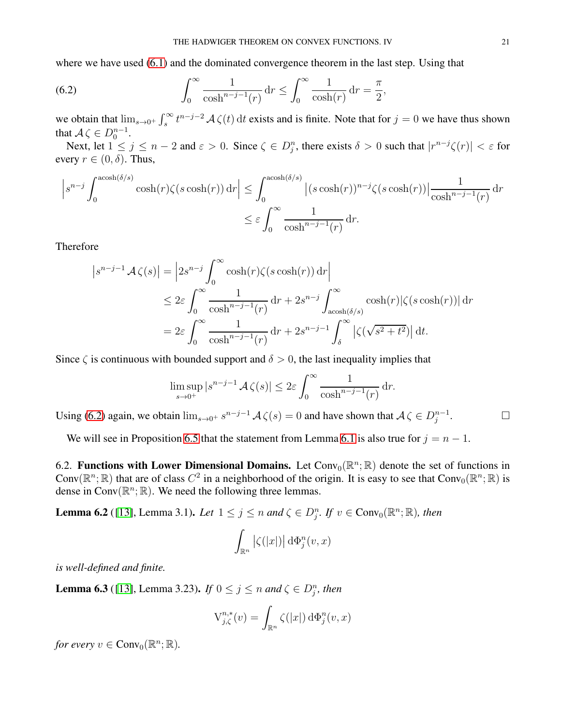where we have used  $(6.1)$  and the dominated convergence theorem in the last step. Using that

<span id="page-20-0"></span>(6.2) 
$$
\int_0^\infty \frac{1}{\cosh^{n-j-1}(r)} dr \leq \int_0^\infty \frac{1}{\cosh(r)} dr = \frac{\pi}{2},
$$

we obtain that  $\lim_{s\to 0^+}\int_s^\infty t^{n-j-2} A \zeta(t) dt$  exists and is finite. Note that for  $j=0$  we have thus shown that  $\mathcal{A} \zeta \in D_0^{n-1}$ .

Next, let  $1 \le j \le n-2$  and  $\varepsilon > 0$ . Since  $\zeta \in D_j^n$ , there exists  $\delta > 0$  such that  $|r^{n-j}\zeta(r)| < \varepsilon$  for every  $r \in (0, \delta)$ . Thus,

$$
\left| s^{n-j} \int_0^{\operatorname{acosh}(\delta/s)} \cosh(r)\zeta(s\cosh(r)) dr \right| \leq \int_0^{\operatorname{acosh}(\delta/s)} \left| (s\cosh(r))^{n-j} \zeta(s\cosh(r)) \right| \frac{1}{\cosh^{n-j-1}(r)} dr
$$
  

$$
\leq \varepsilon \int_0^\infty \frac{1}{\cosh^{n-j-1}(r)} dr.
$$

Therefore

$$
\begin{split} \left| s^{n-j-1} \mathcal{A} \zeta(s) \right| &= \left| 2s^{n-j} \int_0^\infty \cosh(r) \zeta(s \cosh(r)) \, \mathrm{d}r \right| \\ &\le 2\varepsilon \int_0^\infty \frac{1}{\cosh^{n-j-1}(r)} \, \mathrm{d}r + 2s^{n-j} \int_{\mathrm{acosh}(\delta/s)}^\infty \cosh(r) |\zeta(s \cosh(r))| \, \mathrm{d}r \\ &= 2\varepsilon \int_0^\infty \frac{1}{\cosh^{n-j-1}(r)} \, \mathrm{d}r + 2s^{n-j-1} \int_\delta^\infty |\zeta(\sqrt{s^2 + t^2})| \, \mathrm{d}t. \end{split}
$$

Since  $\zeta$  is continuous with bounded support and  $\delta > 0$ , the last inequality implies that

$$
\limsup_{s \to 0^+} |s^{n-j-1} \mathcal{A} \zeta(s)| \le 2\varepsilon \int_0^\infty \frac{1}{\cosh^{n-j-1}(r)} \, dr.
$$

Using [\(6.2\)](#page-20-0) again, we obtain  $\lim_{s\to 0^+} s^{n-j-1} A \zeta(s) = 0$  and have shown that  $A \zeta \in D_j^{n-1}$ 

We will see in Proposition [6.5](#page-21-0) that the statement from Lemma [6.1](#page-19-3) is also true for  $j = n - 1$ .

6.2. Functions with Lower Dimensional Domains. Let  $Conv_0(\mathbb{R}^n;\mathbb{R})$  denote the set of functions in Conv $(\mathbb{R}^n;\mathbb{R})$  that are of class  $C^2$  in a neighborhood of the origin. It is easy to see that Conv<sub>0</sub> $(\mathbb{R}^n;\mathbb{R})$  is dense in  $Conv(\mathbb{R}^n; \mathbb{R})$ . We need the following three lemmas.

<span id="page-20-1"></span>**Lemma 6.2** ([\[13\]](#page-23-24), Lemma 3.1). Let  $1 \leq j \leq n$  and  $\zeta \in D_j^n$ . If  $v \in Conv_0(\mathbb{R}^n; \mathbb{R})$ , then

$$
\int_{\mathbb{R}^n} |\zeta(|x|)| \,\mathrm{d}\Phi^n_j(v,x)
$$

*is well-defined and finite.*

<span id="page-20-2"></span>**Lemma 6.3** ([\[13\]](#page-23-24), Lemma 3.23). *If*  $0 \le j \le n$  *and*  $\zeta \in D_j^n$ *, then* 

$$
V_{j,\zeta}^{n,*}(v) = \int_{\mathbb{R}^n} \zeta(|x|) d\Phi_j^n(v,x)
$$

*for every*  $v \in Conv_0(\mathbb{R}^n; \mathbb{R})$ .

 $\Box$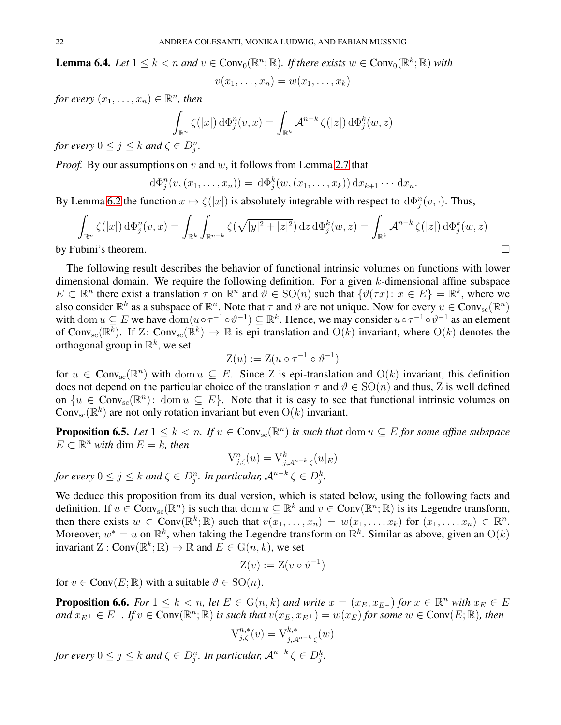<span id="page-21-1"></span>**Lemma 6.4.** Let  $1 \leq k < n$  and  $v \in Conv_0(\mathbb{R}^n; \mathbb{R})$ . If there exists  $w \in Conv_0(\mathbb{R}^k; \mathbb{R})$  with

 $v(x_1, \ldots, x_n) = w(x_1, \ldots, x_k)$ 

*for every*  $(x_1, \ldots, x_n) \in \mathbb{R}^n$ , then

$$
\int_{\mathbb{R}^n} \zeta(|x|) d\Phi_j^n(v, x) = \int_{\mathbb{R}^k} \mathcal{A}^{n-k} \zeta(|z|) d\Phi_j^k(w, z)
$$

*for every*  $0 \leq j \leq k$  *and*  $\zeta \in D_j^n$ *.* 

*Proof.* By our assumptions on v and w, it follows from Lemma [2.7](#page-7-2) that

$$
d\Phi_j^n(v,(x_1,\ldots,x_n))=d\Phi_j^k(w,(x_1,\ldots,x_k))\,dx_{k+1}\cdots dx_n.
$$

By Lemma [6.2](#page-20-1) the function  $x \mapsto \zeta(|x|)$  is absolutely integrable with respect to  $d\Phi_j^n(v, \cdot)$ . Thus,

$$
\int_{\mathbb{R}^n} \zeta(|x|) d\Phi_j^n(v, x) = \int_{\mathbb{R}^k} \int_{\mathbb{R}^{n-k}} \zeta(\sqrt{|y|^2 + |z|^2}) dz d\Phi_j^k(w, z) = \int_{\mathbb{R}^k} \mathcal{A}^{n-k} \zeta(|z|) d\Phi_j^k(w, z)
$$
  
by Fubini's theorem.

The following result describes the behavior of functional intrinsic volumes on functions with lower dimensional domain. We require the following definition. For a given k-dimensional affine subspace  $E \subset \mathbb{R}^n$  there exist a translation  $\tau$  on  $\mathbb{R}^n$  and  $\vartheta \in SO(n)$  such that  $\{\vartheta(\tau x): x \in E\} = \mathbb{R}^k$ , where we also consider  $\mathbb{R}^k$  as a subspace of  $\mathbb{R}^n$ . Note that  $\tau$  and  $\vartheta$  are not unique. Now for every  $u \in Conv_{\rm sc}(\mathbb{R}^n)$ with dom  $u \subseteq E$  we have  $\text{dom}(u \circ \tau^{-1} \circ \vartheta^{-1}) \subseteq \mathbb{R}^k$ . Hence, we may consider  $u \circ \tau^{-1} \circ \vartheta^{-1}$  as an element of Conv<sub>sc</sub>( $\mathbb{R}^k$ ). If Z: Conv<sub>sc</sub>( $\mathbb{R}^k$ )  $\to \mathbb{R}$  is epi-translation and  $O(k)$  invariant, where  $O(k)$  denotes the orthogonal group in  $\mathbb{R}^k$ , we set

$$
Z(u) := Z(u \circ \tau^{-1} \circ \vartheta^{-1})
$$

for  $u \in Conv_{sc}(\mathbb{R}^n)$  with dom  $u \subseteq E$ . Since Z is epi-translation and  $O(k)$  invariant, this definition does not depend on the particular choice of the translation  $\tau$  and  $\vartheta \in SO(n)$  and thus, Z is well defined on  $\{u \in Conv_{sc}(\mathbb{R}^n): \text{ dom } u \subseteq E\}$ . Note that it is easy to see that functional intrinsic volumes on  $Conv_{sc}(\mathbb{R}^{k})$  are not only rotation invariant but even  $O(k)$  invariant.

<span id="page-21-0"></span>**Proposition 6.5.** *Let*  $1 \leq k < n$ . *If*  $u \in Conv_{\text{sc}}(\mathbb{R}^n)$  *is such that* dom  $u \subseteq E$  *for some affine subspace*  $E \subset \mathbb{R}^n$  *with* dim  $E = k$ *, then* 

$$
V_{j,\zeta}^n(u) = V_{j,\mathcal{A}^{n-k}\zeta}^k(u|_E)
$$

for every  $0 \leq j \leq k$  and  $\zeta \in D_j^n$ . In particular,  $\mathcal{A}^{n-k} \zeta \in D_j^k$ .

We deduce this proposition from its dual version, which is stated below, using the following facts and definition. If  $u \in Conv_{sc}(\mathbb{R}^n)$  is such that dom  $u \subseteq \mathbb{R}^k$  and  $v \in Conv(\mathbb{R}^n; \mathbb{R})$  is its Legendre transform, then there exists  $w \in Conv(\mathbb{R}^k; \mathbb{R})$  such that  $v(x_1, \ldots, x_n) = w(x_1, \ldots, x_k)$  for  $(x_1, \ldots, x_n) \in \mathbb{R}^n$ . Moreover,  $w^* = u$  on  $\mathbb{R}^k$ , when taking the Legendre transform on  $\mathbb{R}^k$ . Similar as above, given an  $O(k)$ invariant  $Z: Conv(\mathbb{R}^k; \mathbb{R}) \to \mathbb{R}$  and  $E \in G(n, k)$ , we set

$$
Z(v) := Z(v \circ \vartheta^{-1})
$$

for  $v \in Conv(E; \mathbb{R})$  with a suitable  $\vartheta \in SO(n)$ .

**Proposition 6.6.** *For*  $1 \leq k \leq n$ , *let*  $E \in G(n, k)$  *and write*  $x = (x_E, x_{E^{\perp}})$  *for*  $x \in \mathbb{R}^n$  *with*  $x_E \in E$  $and\ x_{E^{\perp}}\in E^{\perp}$ *. If*  $v\in \text{Conv}(\mathbb{R}^n;\mathbb{R})$  *is such that*  $v(x_E,x_{E^{\perp}})=w(x_E)$  *for some*  $w\in \text{Conv}(E;\mathbb{R})$ *, then* 

$$
\mathcal{V}^{n,*}_{j,\zeta}(v) = \mathcal{V}^{k,*}_{j,\mathcal{A}^{n-k}\zeta}(w)
$$

for every  $0 \leq j \leq k$  and  $\zeta \in D_j^n$ . In particular,  $\mathcal{A}^{n-k} \zeta \in D_j^k$ .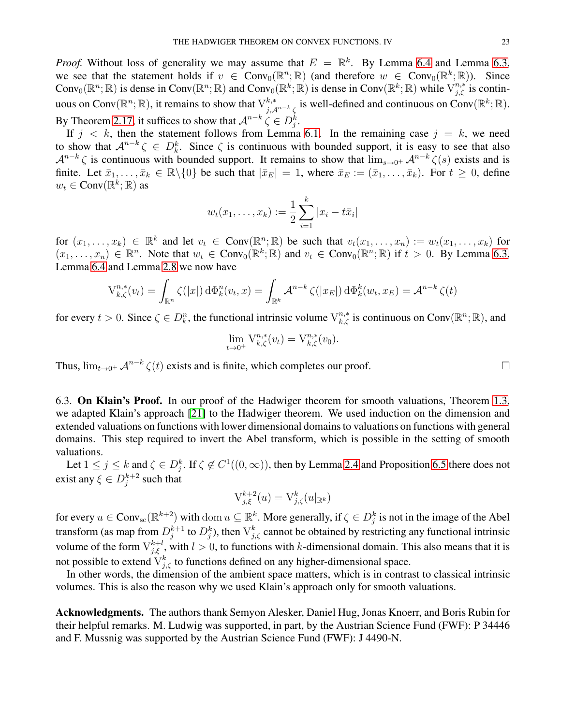*Proof.* Without loss of generality we may assume that  $E = \mathbb{R}^k$ . By Lemma [6.4](#page-21-1) and Lemma [6.3,](#page-20-2) we see that the statement holds if  $v \in Conv_0(\mathbb{R}^n; \mathbb{R})$  (and therefore  $w \in Conv_0(\mathbb{R}^k; \mathbb{R})$ ). Since Conv<sub>0</sub>( $\mathbb{R}^n$ ;  $\mathbb{R}$ ) is dense in Conv( $\mathbb{R}^n$ ;  $\mathbb{R}$ ) and Conv<sub>0</sub>( $\mathbb{R}^k$ ;  $\mathbb{R}$ ) is dense in Conv( $\mathbb{R}^k$ ;  $\mathbb{R}$ ) while  $V_{j,\zeta}^{n,*}$  is continuous on Conv $(\mathbb{R}^n;\mathbb{R})$ , it remains to show that  $\vee_{j,\mathcal{A}^{n-k}\zeta}^{k,*}$  is well-defined and continuous on Conv $(\mathbb{R}^k;\mathbb{R})$ . By Theorem [2.17,](#page-9-2) it suffices to show that  $\mathcal{A}^{n-k} \subset \{ \in D_j^k \}$ .

If  $j \, < \, k$ , then the statement follows from Lemma [6.1.](#page-19-3) In the remaining case  $j = k$ , we need to show that  $A^{n-k} \zeta \in D_k^k$ . Since  $\zeta$  is continuous with bounded support, it is easy to see that also  $\mathcal{A}^{n-k} \zeta$  is continuous with bounded support. It remains to show that  $\lim_{s\to 0^+} \mathcal{A}^{n-k} \zeta(s)$  exists and is finite. Let  $\bar{x}_1, \ldots, \bar{x}_k \in \mathbb{R} \setminus \{0\}$  be such that  $|\bar{x}_E| = 1$ , where  $\bar{x}_E := (\bar{x}_1, \ldots, \bar{x}_k)$ . For  $t \ge 0$ , define  $w_t \in \text{Conv}(\mathbb{R}^k; \mathbb{R})$  as

$$
w_t(x_1,...,x_k) := \frac{1}{2} \sum_{i=1}^k |x_i - t\overline{x}_i|
$$

for  $(x_1, \ldots, x_k) \in \mathbb{R}^k$  and let  $v_t \in \text{Conv}(\mathbb{R}^n; \mathbb{R})$  be such that  $v_t(x_1, \ldots, x_n) := w_t(x_1, \ldots, x_k)$  for  $(x_1, \ldots, x_n) \in \mathbb{R}^n$ . Note that  $w_t \in Conv_0(\mathbb{R}^k; \mathbb{R})$  and  $v_t \in Conv_0(\mathbb{R}^n; \mathbb{R})$  if  $t > 0$ . By Lemma [6.3,](#page-20-2) Lemma [6.4](#page-21-1) and Lemma [2.8](#page-7-3) we now have

$$
V_{k,\zeta}^{n,*}(v_t) = \int_{\mathbb{R}^n} \zeta(|x|) d\Phi_k^n(v_t, x) = \int_{\mathbb{R}^k} \mathcal{A}^{n-k} \zeta(|x_E|) d\Phi_k^k(w_t, x_E) = \mathcal{A}^{n-k} \zeta(t)
$$

for every  $t > 0$ . Since  $\zeta \in D_k^n$ , the functional intrinsic volume  $V_{k,\zeta}^{n,*}$  is continuous on Conv $(\mathbb{R}^n;\mathbb{R})$ , and

$$
\lim_{t \to 0^+} \mathcal{V}_{k,\zeta}^{n,*}(v_t) = \mathcal{V}_{k,\zeta}^{n,*}(v_0).
$$

Thus,  $\lim_{t\to 0^+} \mathcal{A}^{n-k} \zeta(t)$  exists and is finite, which completes our proof.

6.3. On Klain's Proof. In our proof of the Hadwiger theorem for smooth valuations, Theorem [1.3,](#page-2-1) we adapted Klain's approach [\[21\]](#page-23-27) to the Hadwiger theorem. We used induction on the dimension and extended valuations on functions with lower dimensional domains to valuations on functions with general domains. This step required to invert the Abel transform, which is possible in the setting of smooth valuations.

Let  $1 \le j \le k$  and  $\zeta \in D_j^k$ . If  $\zeta \notin C^1((0,\infty))$ , then by Lemma [2.4](#page-5-4) and Proposition [6.5](#page-21-0) there does not exist any  $\xi \in D_j^{k+2}$  $j^{k+2}$  such that

$$
V_{j,\xi}^{k+2}(u) = V_{j,\zeta}^k(u|_{\mathbb{R}^k})
$$

for every  $u \in Conv_{sc}(\mathbb{R}^{k+2})$  with dom  $u \subseteq \mathbb{R}^k$ . More generally, if  $\zeta \in D_j^k$  is not in the image of the Abel transform (as map from  $D_i^{k+1}$  $j_j^{k+1}$  to  $D_j^k$ ), then  $V_{j,\zeta}^k$  cannot be obtained by restricting any functional intrinsic volume of the form  $V_{j,\xi}^{k+l}$ , with  $l > 0$ , to functions with k-dimensional domain. This also means that it is not possible to extend  $V_{j,\zeta}^k$  to functions defined on any higher-dimensional space.

In other words, the dimension of the ambient space matters, which is in contrast to classical intrinsic volumes. This is also the reason why we used Klain's approach only for smooth valuations.

Acknowledgments. The authors thank Semyon Alesker, Daniel Hug, Jonas Knoerr, and Boris Rubin for their helpful remarks. M. Ludwig was supported, in part, by the Austrian Science Fund (FWF): P 34446 and F. Mussnig was supported by the Austrian Science Fund (FWF): J 4490-N.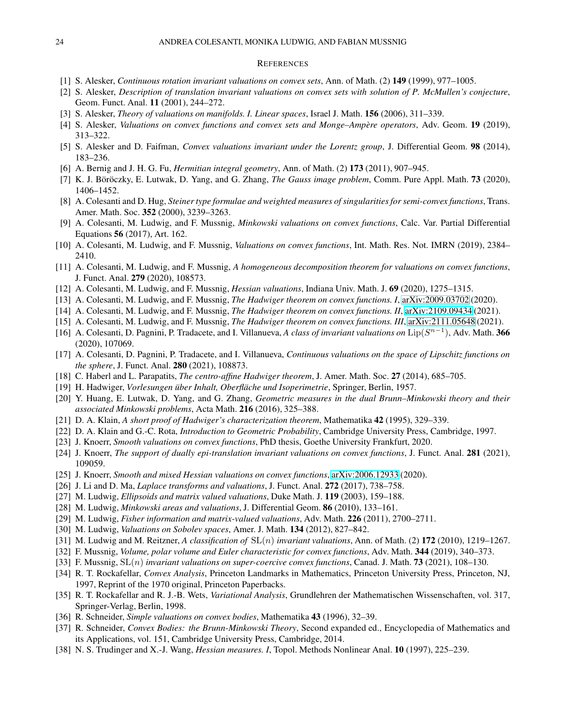#### **REFERENCES**

- <span id="page-23-4"></span><span id="page-23-3"></span>[1] S. Alesker, *Continuous rotation invariant valuations on convex sets*, Ann. of Math. (2) 149 (1999), 977–1005.
- <span id="page-23-30"></span>[2] S. Alesker, *Description of translation invariant valuations on convex sets with solution of P. McMullen's conjecture*, Geom. Funct. Anal. 11 (2001), 244–272.
- <span id="page-23-20"></span>[3] S. Alesker, *Theory of valuations on manifolds. I. Linear spaces*, Israel J. Math. 156 (2006), 311–339.
- <span id="page-23-5"></span>[4] S. Alesker, *Valuations on convex functions and convex sets and Monge–Ampere operators `* , Adv. Geom. 19 (2019), 313–322.
- [5] S. Alesker and D. Faifman, *Convex valuations invariant under the Lorentz group*, J. Differential Geom. 98 (2014), 183–236.
- <span id="page-23-6"></span>[6] A. Bernig and J. H. G. Fu, *Hermitian integral geometry*, Ann. of Math. (2) 173 (2011), 907–945.
- <span id="page-23-33"></span>[7] K. J. Böröczky, E. Lutwak, D. Yang, and G. Zhang, *The Gauss image problem*, Comm. Pure Appl. Math. 73 (2020), 1406–1452.
- [8] A. Colesanti and D. Hug, *Steiner type formulae and weighted measures of singularities for semi-convex functions*, Trans. Amer. Math. Soc. 352 (2000), 3239–3263.
- <span id="page-23-16"></span>[9] A. Colesanti, M. Ludwig, and F. Mussnig, *Minkowski valuations on convex functions*, Calc. Var. Partial Differential Equations 56 (2017), Art. 162.
- <span id="page-23-21"></span><span id="page-23-17"></span>[10] A. Colesanti, M. Ludwig, and F. Mussnig, *Valuations on convex functions*, Int. Math. Res. Not. IMRN (2019), 2384– 2410.
- <span id="page-23-34"></span>[11] A. Colesanti, M. Ludwig, and F. Mussnig, *A homogeneous decomposition theorem for valuations on convex functions*, J. Funct. Anal. 279 (2020), 108573.
- <span id="page-23-24"></span>[12] A. Colesanti, M. Ludwig, and F. Mussnig, *Hessian valuations*, Indiana Univ. Math. J. 69 (2020), 1275–1315.
- <span id="page-23-25"></span>[13] A. Colesanti, M. Ludwig, and F. Mussnig, *The Hadwiger theorem on convex functions. I*, [arXiv:2009.03702](http://arxiv.org/abs/2009.03702) (2020).
- <span id="page-23-26"></span>[14] A. Colesanti, M. Ludwig, and F. Mussnig, *The Hadwiger theorem on convex functions. II*, [arXiv:2109.09434](http://arxiv.org/abs/2109.09434) (2021).
- <span id="page-23-12"></span>[15] A. Colesanti, M. Ludwig, and F. Mussnig, *The Hadwiger theorem on convex functions. III*, [arXiv:2111.05648](http://arxiv.org/abs/2111.05648) (2021).
- [16] A. Colesanti, D. Pagnini, P. Tradacete, and I. Villanueva, *A class of invariant valuations on* Lip(S n−1 ), Adv. Math. 366 (2020), 107069.
- <span id="page-23-13"></span>[17] A. Colesanti, D. Pagnini, P. Tradacete, and I. Villanueva, *Continuous valuations on the space of Lipschitz functions on the sphere*, J. Funct. Anal. 280 (2021), 108873.
- <span id="page-23-7"></span><span id="page-23-0"></span>[18] C. Haberl and L. Parapatits, *The centro-affine Hadwiger theorem*, J. Amer. Math. Soc. 27 (2014), 685–705.
- <span id="page-23-8"></span>[19] H. Hadwiger, *Vorlesungen uber Inhalt, Oberfl ¨ ache und Isoperimetrie ¨* , Springer, Berlin, 1957.
- [20] Y. Huang, E. Lutwak, D. Yang, and G. Zhang, *Geometric measures in the dual Brunn–Minkowski theory and their associated Minkowski problems*, Acta Math. 216 (2016), 325–388.
- <span id="page-23-27"></span><span id="page-23-1"></span>[21] D. A. Klain, *A short proof of Hadwiger's characterization theorem*, Mathematika 42 (1995), 329–339.
- <span id="page-23-29"></span>[22] D. A. Klain and G.-C. Rota, *Introduction to Geometric Probability*, Cambridge University Press, Cambridge, 1997.
- <span id="page-23-22"></span>[23] J. Knoerr, *Smooth valuations on convex functions*, PhD thesis, Goethe University Frankfurt, 2020.
- <span id="page-23-23"></span>[24] J. Knoerr, *The support of dually epi-translation invariant valuations on convex functions*, J. Funct. Anal. 281 (2021), 109059.
- <span id="page-23-9"></span>[25] J. Knoerr, *Smooth and mixed Hessian valuations on convex functions*, [arXiv:2006.12933](http://arxiv.org/abs/2006.12933) (2020).
- [26] J. Li and D. Ma, *Laplace transforms and valuations*, J. Funct. Anal. 272 (2017), 738–758.
- <span id="page-23-10"></span>[27] M. Ludwig, *Ellipsoids and matrix valued valuations*, Duke Math. J. 119 (2003), 159–188.
- <span id="page-23-14"></span>[28] M. Ludwig, *Minkowski areas and valuations*, J. Differential Geom. 86 (2010), 133–161.
- <span id="page-23-15"></span>[29] M. Ludwig, *Fisher information and matrix-valued valuations*, Adv. Math. 226 (2011), 2700–2711.
- <span id="page-23-11"></span>[30] M. Ludwig, *Valuations on Sobolev spaces*, Amer. J. Math. 134 (2012), 827–842.
- <span id="page-23-18"></span>[31] M. Ludwig and M. Reitzner, *A classification of* SL(n) *invariant valuations*, Ann. of Math. (2) 172 (2010), 1219–1267.
- <span id="page-23-19"></span>[32] F. Mussnig, *Volume, polar volume and Euler characteristic for convex functions*, Adv. Math. 344 (2019), 340–373.
- <span id="page-23-31"></span>[33] F. Mussnig, SL(n) *invariant valuations on super-coercive convex functions*, Canad. J. Math. 73 (2021), 108–130.
- [34] R. T. Rockafellar, *Convex Analysis*, Princeton Landmarks in Mathematics, Princeton University Press, Princeton, NJ, 1997, Reprint of the 1970 original, Princeton Paperbacks.
- <span id="page-23-32"></span>[35] R. T. Rockafellar and R. J.-B. Wets, *Variational Analysis*, Grundlehren der Mathematischen Wissenschaften, vol. 317, Springer-Verlag, Berlin, 1998.
- <span id="page-23-28"></span><span id="page-23-2"></span>[36] R. Schneider, *Simple valuations on convex bodies*, Mathematika 43 (1996), 32–39.
- [37] R. Schneider, *Convex Bodies: the Brunn-Minkowski Theory*, Second expanded ed., Encyclopedia of Mathematics and its Applications, vol. 151, Cambridge University Press, Cambridge, 2014.
- <span id="page-23-35"></span>[38] N. S. Trudinger and X.-J. Wang, *Hessian measures. I*, Topol. Methods Nonlinear Anal. 10 (1997), 225–239.